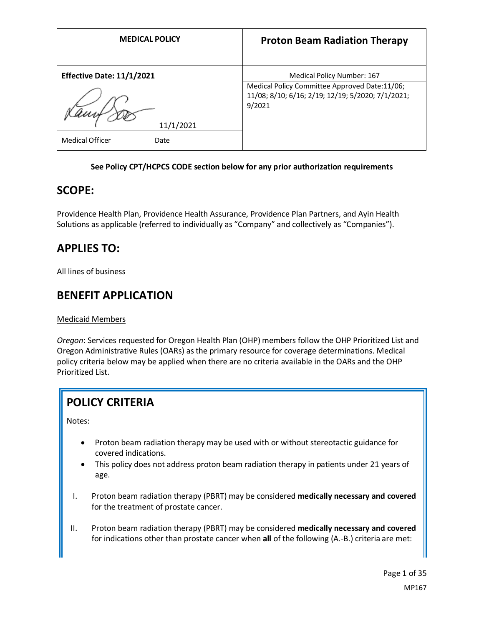| <b>MEDICAL POLICY</b>            | <b>Proton Beam Radiation Therapy</b>                                                                                             |
|----------------------------------|----------------------------------------------------------------------------------------------------------------------------------|
| <b>Effective Date: 11/1/2021</b> | Medical Policy Number: 167<br>Medical Policy Committee Approved Date:11/06;<br>11/08; 8/10; 6/16; 2/19; 12/19; 5/2020; 7/1/2021; |
| 11/1/2021                        | 9/2021                                                                                                                           |
| <b>Medical Officer</b><br>Date   |                                                                                                                                  |

#### **See Policy CPT/HCPCS CODE section below for any prior authorization requirements**

## **SCOPE:**

Providence Health Plan, Providence Health Assurance, Providence Plan Partners, and Ayin Health Solutions as applicable (referred to individually as "Company" and collectively as "Companies").

# **APPLIES TO:**

All lines of business

## **BENEFIT APPLICATION**

### Medicaid Members

*Oregon*: Services requested for Oregon Health Plan (OHP) members follow the OHP Prioritized List and Oregon Administrative Rules (OARs) as the primary resource for coverage determinations. Medical policy criteria below may be applied when there are no criteria available in the OARs and the OHP Prioritized List.

# **POLICY CRITERIA**

Notes:

- Proton beam radiation therapy may be used with or without stereotactic guidance for covered indications.
- This policy does not address proton beam radiation therapy in patients under 21 years of age.
- I. Proton beam radiation therapy (PBRT) may be considered **medically necessary and covered**  for the treatment of prostate cancer.
- II. Proton beam radiation therapy (PBRT) may be considered **medically necessary and covered**  for indications other than prostate cancer when **all** of the following (A.-B.) criteria are met: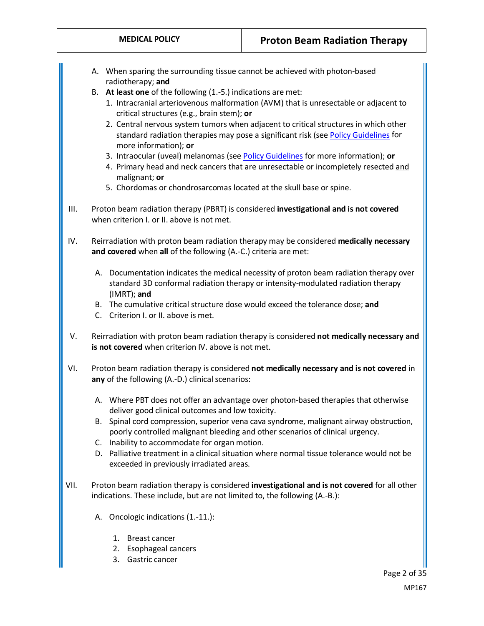- A. When sparing the surrounding tissue cannot be achieved with photon-based radiotherapy; **and**
- B. **At least one** of the following (1.-5.) indications are met:
	- 1. Intracranial arteriovenous malformation (AVM) that is unresectable or adjacent to critical structures (e.g., brain stem); **or**
	- 2. Central nervous system tumors when adjacent to critical structures in which other standard radiation therapies may pose a significant risk (se[e Policy Guidelines](#page-2-0) for more information); **or**
	- 3. Intraocular (uveal) melanomas (se[e Policy Guidelines](#page-2-0) for more information); **or**
	- 4. Primary head and neck cancers that are unresectable or incompletely resected and malignant; **or**
	- 5. Chordomas or chondrosarcomas located at the skull base or spine.
- III. Proton beam radiation therapy (PBRT) is considered **investigational and is not covered** when criterion L or IL above is not met.
- IV. Reirradiation with proton beam radiation therapy may be considered **medically necessary and covered** when **all** of the following (A.-C.) criteria are met:
	- A. Documentation indicates the medical necessity of proton beam radiation therapy over standard 3D conformal radiation therapy or intensity-modulated radiation therapy (IMRT); **and**
	- B. The cumulative critical structure dose would exceed the tolerance dose; **and**
	- C. Criterion I. or II. above is met.
- V. Reirradiation with proton beam radiation therapy is considered **not medically necessary and is not covered** when criterion IV. above is not met.
- VI. Proton beam radiation therapy is considered **not medically necessary and is not covered** in **any** of the following (A.-D.) clinical scenarios:
	- A. Where PBT does not offer an advantage over photon-based therapies that otherwise deliver good clinical outcomes and low toxicity.
	- B. Spinal cord compression, superior vena cava syndrome, malignant airway obstruction, poorly controlled malignant bleeding and other scenarios of clinical urgency.
	- C. Inability to accommodate for organ motion.
	- D. Palliative treatment in a clinical situation where normal tissue tolerance would not be exceeded in previously irradiated areas.
- VII. Proton beam radiation therapy is considered **investigational and is not covered** for all other indications. These include, but are not limited to, the following (A.-B.):
	- A. Oncologic indications (1.-11.):
		- 1. Breast cancer
		- 2. Esophageal cancers
		- 3. Gastric cancer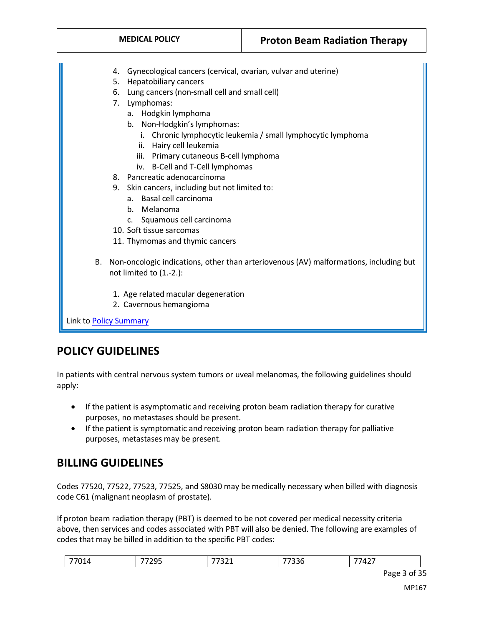| <b>MEDICAL POLICY</b>                           | <b>Proton Beam Radiation Therapy</b>                                                  |  |
|-------------------------------------------------|---------------------------------------------------------------------------------------|--|
|                                                 |                                                                                       |  |
| 4.                                              | Gynecological cancers (cervical, ovarian, vulvar and uterine)                         |  |
|                                                 | <b>Hepatobiliary cancers</b><br>5.                                                    |  |
| 6. Lung cancers (non-small cell and small cell) |                                                                                       |  |
| 7. Lymphomas:                                   |                                                                                       |  |
| a. Hodgkin lymphoma                             |                                                                                       |  |
| b. Non-Hodgkin's lymphomas:                     |                                                                                       |  |
| i.                                              | Chronic lymphocytic leukemia / small lymphocytic lymphoma                             |  |
| ii. Hairy cell leukemia                         |                                                                                       |  |
| iii. Primary cutaneous B-cell lymphoma          |                                                                                       |  |
| iv. B-Cell and T-Cell lymphomas                 |                                                                                       |  |
| 8. Pancreatic adenocarcinoma                    |                                                                                       |  |
| 9. Skin cancers, including but not limited to:  |                                                                                       |  |
| Basal cell carcinoma<br>$a_{-}$                 |                                                                                       |  |
| b. Melanoma                                     |                                                                                       |  |
| Squamous cell carcinoma<br>$\mathsf{C}$ .       |                                                                                       |  |
| 10. Soft tissue sarcomas                        |                                                                                       |  |
| 11. Thymomas and thymic cancers                 |                                                                                       |  |
| В.                                              | Non-oncologic indications, other than arteriovenous (AV) malformations, including but |  |
| not limited to (1.-2.):                         |                                                                                       |  |
| 1. Age related macular degeneration             |                                                                                       |  |
| 2. Cavernous hemangioma                         |                                                                                       |  |
|                                                 |                                                                                       |  |
| Link to Policy Summary                          |                                                                                       |  |

# <span id="page-2-0"></span>**POLICY GUIDELINES**

In patients with central nervous system tumors or uveal melanomas, the following guidelines should apply:

- If the patient is asymptomatic and receiving proton beam radiation therapy for curative purposes, no metastases should be present.
- If the patient is symptomatic and receiving proton beam radiation therapy for palliative purposes, metastases may be present.

# **BILLING GUIDELINES**

Codes 77520, 77522, 77523, 77525, and S8030 may be medically necessary when billed with diagnosis code C61 (malignant neoplasm of prostate).

If proton beam radiation therapy (PBT) is deemed to be not covered per medical necessity criteria above, then services and codes associated with PBT will also be denied. The following are examples of codes that may be billed in addition to the specific PBT codes:

| $-$<br>$\overline{ }$<br>---<br>$\sim$ $\sim$ |  |
|-----------------------------------------------|--|
|-----------------------------------------------|--|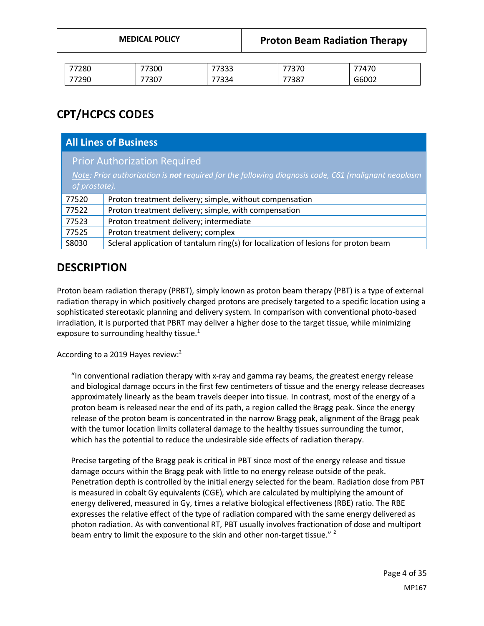| <b>MEDICAL POLICY</b> |  |
|-----------------------|--|
|-----------------------|--|

| 77280 | 77300        | フフつつつ<br><u>JJJ</u>  | 7722c<br>ں ر ب | 747C           |
|-------|--------------|----------------------|----------------|----------------|
| 77290 | ココへヘコ<br>،80 | --<br>ו בר־<br>534 ' | 77387          | ר הרי<br>GPOOZ |

# **CPT/HCPCS CODES**

| <b>All Lines of Business</b>                                                                        |                                                                                     |  |
|-----------------------------------------------------------------------------------------------------|-------------------------------------------------------------------------------------|--|
| <b>Prior Authorization Required</b>                                                                 |                                                                                     |  |
| Note: Prior authorization is not required for the following diagnosis code, C61 (malignant neoplasm |                                                                                     |  |
| of prostate).                                                                                       |                                                                                     |  |
| 77520                                                                                               | Proton treatment delivery; simple, without compensation                             |  |
| 77522                                                                                               | Proton treatment delivery; simple, with compensation                                |  |
| 77523                                                                                               | Proton treatment delivery; intermediate                                             |  |
| 77525                                                                                               | Proton treatment delivery; complex                                                  |  |
| S8030                                                                                               | Scleral application of tantalum ring(s) for localization of lesions for proton beam |  |

## **DESCRIPTION**

Proton beam radiation therapy (PRBT), simply known as proton beam therapy (PBT) is a type of external radiation therapy in which positively charged protons are precisely targeted to a specific location using a sophisticated stereotaxic planning and delivery system. In comparison with conventional photo-based irradiation, it is purported that PBRT may deliver a higher dose to the target tissue, while minimizing exposure to surrounding healthy tissue. $1$ 

According to a 2019 Hayes review:<sup>2</sup>

"In conventional radiation therapy with x-ray and gamma ray beams, the greatest energy release and biological damage occurs in the first few centimeters of tissue and the energy release decreases approximately linearly as the beam travels deeper into tissue. In contrast, most of the energy of a proton beam is released near the end of its path, a region called the Bragg peak. Since the energy release of the proton beam is concentrated in the narrow Bragg peak, alignment of the Bragg peak with the tumor location limits collateral damage to the healthy tissues surrounding the tumor, which has the potential to reduce the undesirable side effects of radiation therapy.

Precise targeting of the Bragg peak is critical in PBT since most of the energy release and tissue damage occurs within the Bragg peak with little to no energy release outside of the peak. Penetration depth is controlled by the initial energy selected for the beam. Radiation dose from PBT is measured in cobalt Gy equivalents (CGE), which are calculated by multiplying the amount of energy delivered, measured in Gy, times a relative biological effectiveness (RBE) ratio. The RBE expresses the relative effect of the type of radiation compared with the same energy delivered as photon radiation. As with conventional RT, PBT usually involves fractionation of dose and multiport beam entry to limit the exposure to the skin and other non-target tissue." <sup>2</sup>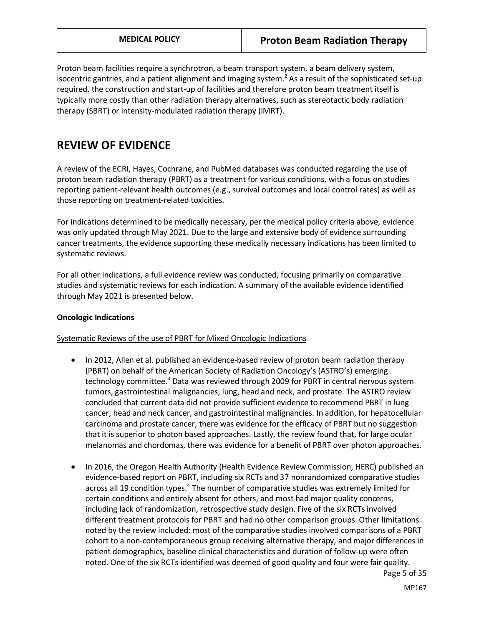Proton beam facilities require a synchrotron, a beam transport system, a beam delivery system, isocentric gantries, and a patient alignment and imaging system.<sup>2</sup> As a result of the sophisticated set-up required, the construction and start-up of facilities and therefore proton beam treatment itself is typically more costly than other radiation therapy alternatives, such as stereotactic body radiation therapy (SBRT) or intensity-modulated radiation therapy (IMRT).

## **REVIEW OF EVIDENCE**

A review of the ECRI, Hayes, Cochrane, and PubMed databases was conducted regarding the use of proton beam radiation therapy (PBRT) as a treatment for various conditions, with a focus on studies reporting patient-relevant health outcomes (e.g., survival outcomes and local control rates) as well as those reporting on treatment-related toxicities.

For indications determined to be medically necessary, per the medical policy criteria above, evidence was only updated through May 2021. Due to the large and extensive body of evidence surrounding cancer treatments, the evidence supporting these medically necessary indications has been limited to systematic reviews.

For all other indications, a full evidence review was conducted, focusing primarily on comparative studies and systematic reviews for each indication. A summary of the available evidence identified through May 2021 is presented below.

#### **Oncologic Indications**

Systematic Reviews of the use of PBRT for Mixed Oncologic Indications

- In 2012, Allen et al. published an evidence-based review of proton beam radiation therapy (PBRT) on behalf of the American Society of Radiation Oncology's (ASTRO's) emerging technology committee.<sup>3</sup> Data was reviewed through 2009 for PBRT in central nervous system tumors, gastrointestinal malignancies, lung, head and neck, and prostate. The ASTRO review concluded that current data did not provide sufficient evidence to recommend PBRT in lung cancer, head and neck cancer, and gastrointestinal malignancies. In addition, for hepatocellular carcinoma and prostate cancer, there was evidence for the efficacy of PBRT but no suggestion that it is superior to photon based approaches. Lastly, the review found that, for large ocular melanomas and chordomas, there was evidence for a benefit of PBRT over photon approaches.
- In 2016, the Oregon Health Authority (Health Evidence Review Commission, HERC) published an evidence-based report on PBRT, including six RCTs and 37 nonrandomized comparative studies across all 19 condition types.<sup>4</sup> The number of comparative studies was extremely limited for certain conditions and entirely absent for others, and most had major quality concerns, including lack of randomization, retrospective study design. Five of the six RCTs involved different treatment protocols for PBRT and had no other comparison groups. Other limitations noted by the review included: most of the comparative studies involved comparisons of a PBRT cohort to a non-contemporaneous group receiving alternative therapy, and major differences in patient demographics, baseline clinical characteristics and duration of follow-up were often noted. One of the six RCTs identified was deemed of good quality and four were fair quality.

Page 5 of 35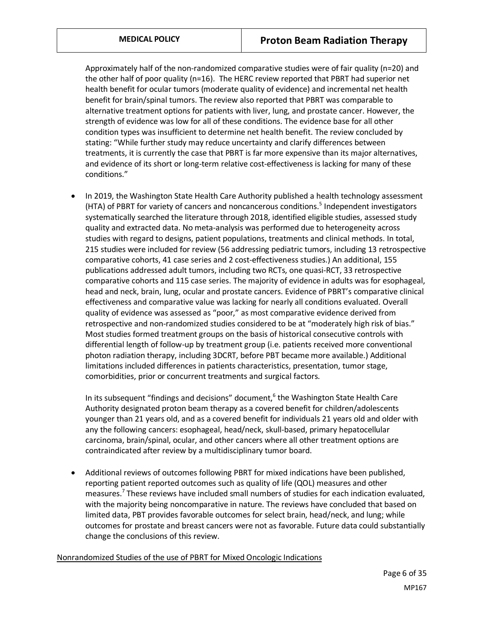Approximately half of the non-randomized comparative studies were of fair quality (n=20) and the other half of poor quality (n=16). The HERC review reported that PBRT had superior net health benefit for ocular tumors (moderate quality of evidence) and incremental net health benefit for brain/spinal tumors. The review also reported that PBRT was comparable to alternative treatment options for patients with liver, lung, and prostate cancer. However, the strength of evidence was low for all of these conditions. The evidence base for all other condition types was insufficient to determine net health benefit. The review concluded by stating: "While further study may reduce uncertainty and clarify differences between treatments, it is currently the case that PBRT is far more expensive than its major alternatives, and evidence of its short or long-term relative cost-effectiveness is lacking for many of these conditions."

• In 2019, the Washington State Health Care Authority published a health technology assessment (HTA) of PBRT for variety of cancers and noncancerous conditions.<sup>5</sup> Independent investigators systematically searched the literature through 2018, identified eligible studies, assessed study quality and extracted data. No meta-analysis was performed due to heterogeneity across studies with regard to designs, patient populations, treatments and clinical methods. In total, 215 studies were included for review (56 addressing pediatric tumors, including 13 retrospective comparative cohorts, 41 case series and 2 cost-effectiveness studies.) An additional, 155 publications addressed adult tumors, including two RCTs, one quasi-RCT, 33 retrospective comparative cohorts and 115 case series. The majority of evidence in adults was for esophageal, head and neck, brain, lung, ocular and prostate cancers. Evidence of PBRT's comparative clinical effectiveness and comparative value was lacking for nearly all conditions evaluated. Overall quality of evidence was assessed as "poor," as most comparative evidence derived from retrospective and non-randomized studies considered to be at "moderately high risk of bias." Most studies formed treatment groups on the basis of historical consecutive controls with differential length of follow-up by treatment group (i.e. patients received more conventional photon radiation therapy, including 3DCRT, before PBT became more available.) Additional limitations included differences in patients characteristics, presentation, tumor stage, comorbidities, prior or concurrent treatments and surgical factors.

In its subsequent "findings and decisions" document, $<sup>6</sup>$  the Washington State Health Care</sup> Authority designated proton beam therapy as a covered benefit for children/adolescents younger than 21 years old, and as a covered benefit for individuals 21 years old and older with any the following cancers: esophageal, head/neck, skull-based, primary hepatocellular carcinoma, brain/spinal, ocular, and other cancers where all other treatment options are contraindicated after review by a multidisciplinary tumor board.

• Additional reviews of outcomes following PBRT for mixed indications have been published, reporting patient reported outcomes such as quality of life (QOL) measures and other measures.<sup>7</sup> These reviews have included small numbers of studies for each indication evaluated, with the majority being noncomparative in nature. The reviews have concluded that based on limited data, PBT provides favorable outcomes for select brain, head/neck, and lung; while outcomes for prostate and breast cancers were not as favorable. Future data could substantially change the conclusions of this review.

Nonrandomized Studies of the use of PBRT for Mixed Oncologic Indications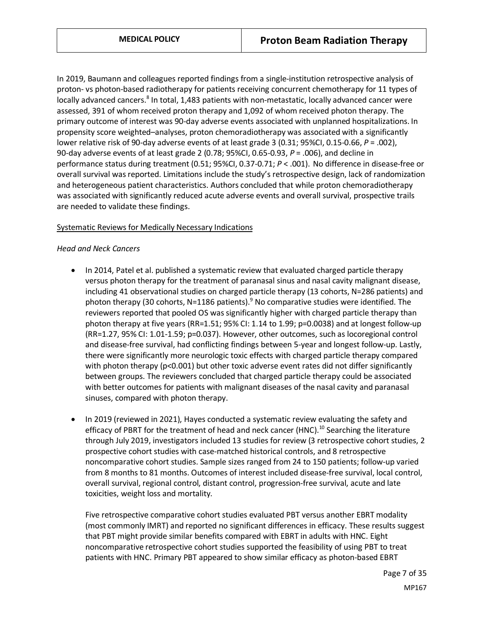In 2019, Baumann and colleagues reported findings from a single-institution retrospective analysis of proton- vs photon-based radiotherapy for patients receiving concurrent chemotherapy for 11 types of locally advanced cancers.<sup>8</sup> In total, 1,483 patients with non-metastatic, locally advanced cancer were assessed, 391 of whom received proton therapy and 1,092 of whom received photon therapy. The primary outcome of interest was 90-day adverse events associated with unplanned hospitalizations. In propensity score weighted–analyses, proton chemoradiotherapy was associated with a significantly lower relative risk of 90-day adverse events of at least grade 3 (0.31; 95%CI, 0.15-0.66, *P* = .002), 90-day adverse events of at least grade 2 (0.78; 95%CI, 0.65-0.93, *P* = .006), and decline in performance status during treatment (0.51; 95%CI, 0.37-0.71; *P* < .001). No difference in disease-free or overall survival was reported. Limitations include the study's retrospective design, lack of randomization and heterogeneous patient characteristics. Authors concluded that while proton chemoradiotherapy was associated with significantly reduced acute adverse events and overall survival, prospective trails are needed to validate these findings.

#### Systematic Reviews for Medically Necessary Indications

#### *Head and Neck Cancers*

- In 2014, Patel et al. published a systematic review that evaluated charged particle therapy versus photon therapy for the treatment of paranasal sinus and nasal cavity malignant disease, including 41 observational studies on charged particle therapy (13 cohorts, N=286 patients) and photon therapy (30 cohorts, N=1186 patients).<sup>9</sup> No comparative studies were identified. The reviewers reported that pooled OS was significantly higher with charged particle therapy than photon therapy at five years (RR=1.51; 95% CI: 1.14 to 1.99; p=0.0038) and at longest follow-up (RR=1.27, 95% CI: 1.01-1.59; p=0.037). However, other outcomes, such as locoregional control and disease-free survival, had conflicting findings between 5-year and longest follow-up. Lastly, there were significantly more neurologic toxic effects with charged particle therapy compared with photon therapy (p<0.001) but other toxic adverse event rates did not differ significantly between groups. The reviewers concluded that charged particle therapy could be associated with better outcomes for patients with malignant diseases of the nasal cavity and paranasal sinuses, compared with photon therapy.
- In 2019 (reviewed in 2021), Hayes conducted a systematic review evaluating the safety and efficacy of PBRT for the treatment of head and neck cancer (HNC).<sup>10</sup> Searching the literature through July 2019, investigators included 13 studies for review (3 retrospective cohort studies, 2 prospective cohort studies with case-matched historical controls, and 8 retrospective noncomparative cohort studies. Sample sizes ranged from 24 to 150 patients; follow-up varied from 8 months to 81 months. Outcomes of interest included disease-free survival, local control, overall survival, regional control, distant control, progression-free survival, acute and late toxicities, weight loss and mortality.

Five retrospective comparative cohort studies evaluated PBT versus another EBRT modality (most commonly IMRT) and reported no significant differences in efficacy. These results suggest that PBT might provide similar benefits compared with EBRT in adults with HNC. Eight noncomparative retrospective cohort studies supported the feasibility of using PBT to treat patients with HNC. Primary PBT appeared to show similar efficacy as photon-based EBRT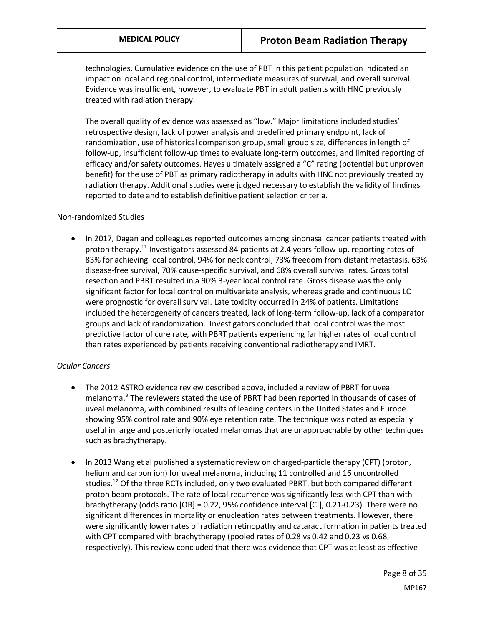technologies. Cumulative evidence on the use of PBT in this patient population indicated an impact on local and regional control, intermediate measures of survival, and overall survival. Evidence was insufficient, however, to evaluate PBT in adult patients with HNC previously treated with radiation therapy.

The overall quality of evidence was assessed as "low." Major limitations included studies' retrospective design, lack of power analysis and predefined primary endpoint, lack of randomization, use of historical comparison group, small group size, differences in length of follow-up, insufficient follow-up times to evaluate long-term outcomes, and limited reporting of efficacy and/or safety outcomes. Hayes ultimately assigned a "C" rating (potential but unproven benefit) for the use of PBT as primary radiotherapy in adults with HNC not previously treated by radiation therapy. Additional studies were judged necessary to establish the validity of findings reported to date and to establish definitive patient selection criteria.

#### Non-randomized Studies

• In 2017, Dagan and colleagues reported outcomes among sinonasal cancer patients treated with proton therapy.<sup>11</sup> Investigators assessed 84 patients at 2.4 years follow-up, reporting rates of 83% for achieving local control, 94% for neck control, 73% freedom from distant metastasis, 63% disease-free survival, 70% cause-specific survival, and 68% overall survival rates. Gross total resection and PBRT resulted in a 90% 3-year local control rate. Gross disease was the only significant factor for local control on multivariate analysis, whereas grade and continuous LC were prognostic for overall survival. Late toxicity occurred in 24% of patients. Limitations included the heterogeneity of cancers treated, lack of long-term follow-up, lack of a comparator groups and lack of randomization. Investigators concluded that local control was the most predictive factor of cure rate, with PBRT patients experiencing far higher rates of local control than rates experienced by patients receiving conventional radiotherapy and IMRT.

#### *Ocular Cancers*

- The 2012 ASTRO evidence review described above, included a review of PBRT for uveal melanoma.<sup>3</sup> The reviewers stated the use of PBRT had been reported in thousands of cases of uveal melanoma, with combined results of leading centers in the United States and Europe showing 95% control rate and 90% eye retention rate. The technique was noted as especially useful in large and posteriorly located melanomas that are unapproachable by other techniques such as brachytherapy.
- In 2013 Wang et al published a systematic review on charged-particle therapy (CPT) (proton, helium and carbon ion) for uveal melanoma, including 11 controlled and 16 uncontrolled studies.<sup>12</sup> Of the three RCTs included, only two evaluated PBRT, but both compared different proton beam protocols. The rate of local recurrence was significantly less with CPT than with brachytherapy (odds ratio [OR] = 0.22, 95% confidence interval [CI], 0.21-0.23). There were no significant differences in mortality or enucleation rates between treatments. However, there were significantly lower rates of radiation retinopathy and cataract formation in patients treated with CPT compared with brachytherapy (pooled rates of 0.28 vs 0.42 and 0.23 vs 0.68, respectively). This review concluded that there was evidence that CPT was at least as effective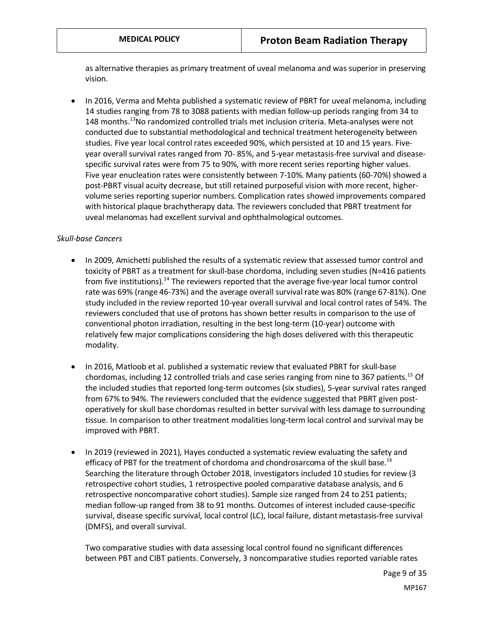as alternative therapies as primary treatment of uveal melanoma and was superior in preserving vision.

• In 2016, Verma and Mehta published a systematic review of PBRT for uveal melanoma, including 14 studies ranging from 78 to 3088 patients with median follow-up periods ranging from 34 to 148 months.<sup>13</sup>No randomized controlled trials met inclusion criteria. Meta-analyses were not conducted due to substantial methodological and technical treatment heterogeneity between studies. Five year local control rates exceeded 90%, which persisted at 10 and 15 years. Fiveyear overall survival rates ranged from 70- 85%, and 5-year metastasis-free survival and diseasespecific survival rates were from 75 to 90%, with more recent series reporting higher values. Five year enucleation rates were consistently between 7-10%. Many patients (60-70%) showed a post-PBRT visual acuity decrease, but still retained purposeful vision with more recent, highervolume series reporting superior numbers. Complication rates showed improvements compared with historical plaque brachytherapy data. The reviewers concluded that PBRT treatment for uveal melanomas had excellent survival and ophthalmological outcomes.

#### *Skull-base Cancers*

- In 2009, Amichetti published the results of a systematic review that assessed tumor control and toxicity of PBRT as a treatment for skull-base chordoma, including seven studies (N=416 patients from five institutions).<sup>14</sup> The reviewers reported that the average five-year local tumor control rate was 69% (range 46-73%) and the average overall survival rate was 80% (range 67-81%). One study included in the review reported 10-year overall survival and local control rates of 54%. The reviewers concluded that use of protons has shown better results in comparison to the use of conventional photon irradiation, resulting in the best long-term (10-year) outcome with relatively few major complications considering the high doses delivered with this therapeutic modality.
- In 2016, Matloob et al. published a systematic review that evaluated PBRT for skull-base chordomas, including 12 controlled trials and case series ranging from nine to 367 patients.<sup>15</sup> Of the included studies that reported long-term outcomes (six studies), 5-year survival rates ranged from 67% to 94%. The reviewers concluded that the evidence suggested that PBRT given postoperatively for skull base chordomas resulted in better survival with less damage to surrounding tissue. In comparison to other treatment modalities long-term local control and survival may be improved with PBRT.
- In 2019 (reviewed in 2021), Hayes conducted a systematic review evaluating the safety and efficacy of PBT for the treatment of chordoma and chondrosarcoma of the skull base.<sup>16</sup> Searching the literature through October 2018, investigators included 10 studies for review (3 retrospective cohort studies, 1 retrospective pooled comparative database analysis, and 6 retrospective noncomparative cohort studies). Sample size ranged from 24 to 251 patients; median follow-up ranged from 38 to 91 months. Outcomes of interest included cause-specific survival, disease specific survival, local control (LC), local failure, distant metastasis-free survival (DMFS), and overall survival.

Two comparative studies with data assessing local control found no significant differences between PBT and CIBT patients. Conversely, 3 noncomparative studies reported variable rates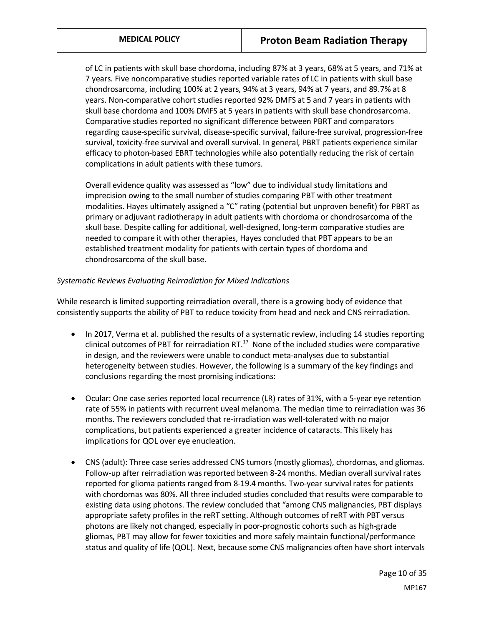of LC in patients with skull base chordoma, including 87% at 3 years, 68% at 5 years, and 71% at 7 years. Five noncomparative studies reported variable rates of LC in patients with skull base chondrosarcoma, including 100% at 2 years, 94% at 3 years, 94% at 7 years, and 89.7% at 8 years. Non-comparative cohort studies reported 92% DMFS at 5 and 7 years in patients with skull base chordoma and 100% DMFS at 5 years in patients with skull base chondrosarcoma. Comparative studies reported no significant difference between PBRT and comparators regarding cause-specific survival, disease-specific survival, failure-free survival, progression-free survival, toxicity-free survival and overall survival. In general, PBRT patients experience similar efficacy to photon-based EBRT technologies while also potentially reducing the risk of certain complications in adult patients with these tumors.

Overall evidence quality was assessed as "low" due to individual study limitations and imprecision owing to the small number of studies comparing PBT with other treatment modalities. Hayes ultimately assigned a "C" rating (potential but unproven benefit) for PBRT as primary or adjuvant radiotherapy in adult patients with chordoma or chondrosarcoma of the skull base. Despite calling for additional, well-designed, long-term comparative studies are needed to compare it with other therapies, Hayes concluded that PBT appears to be an established treatment modality for patients with certain types of chordoma and chondrosarcoma of the skull base.

#### *Systematic Reviews Evaluating Reirradiation for Mixed Indications*

While research is limited supporting reirradiation overall, there is a growing body of evidence that consistently supports the ability of PBT to reduce toxicity from head and neck and CNS reirradiation.

- In 2017, Verma et al. published the results of a systematic review, including 14 studies reporting clinical outcomes of PBT for reirradiation RT. $^{17}$  None of the included studies were comparative in design, and the reviewers were unable to conduct meta-analyses due to substantial heterogeneity between studies. However, the following is a summary of the key findings and conclusions regarding the most promising indications:
- Ocular: One case series reported local recurrence (LR) rates of 31%, with a 5-year eye retention rate of 55% in patients with recurrent uveal melanoma. The median time to reirradiation was 36 months. The reviewers concluded that re-irradiation was well-tolerated with no major complications, but patients experienced a greater incidence of cataracts. This likely has implications for QOL over eye enucleation.
- CNS (adult): Three case series addressed CNS tumors (mostly gliomas), chordomas, and gliomas. Follow-up after reirradiation was reported between 8-24 months. Median overall survival rates reported for glioma patients ranged from 8-19.4 months. Two-year survival rates for patients with chordomas was 80%. All three included studies concluded that results were comparable to existing data using photons. The review concluded that "among CNS malignancies, PBT displays appropriate safety profiles in the reRT setting. Although outcomes of reRT with PBT versus photons are likely not changed, especially in poor-prognostic cohorts such as high-grade gliomas, PBT may allow for fewer toxicities and more safely maintain functional/performance status and quality of life (QOL). Next, because some CNS malignancies often have short intervals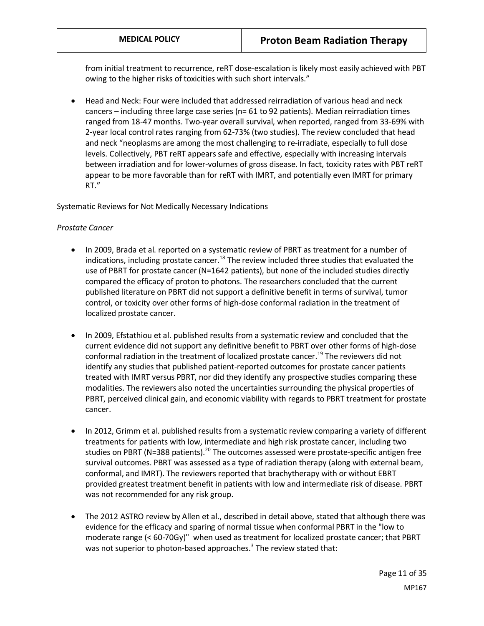from initial treatment to recurrence, reRT dose-escalation is likely most easily achieved with PBT owing to the higher risks of toxicities with such short intervals."

• Head and Neck: Four were included that addressed reirradiation of various head and neck cancers – including three large case series (n= 61 to 92 patients). Median reirradiation times ranged from 18-47 months. Two-year overall survival, when reported, ranged from 33-69% with 2-year local control rates ranging from 62-73% (two studies). The review concluded that head and neck "neoplasms are among the most challenging to re-irradiate, especially to full dose levels. Collectively, PBT reRT appears safe and effective, especially with increasing intervals between irradiation and for lower-volumes of gross disease. In fact, toxicity rates with PBT reRT appear to be more favorable than for reRT with IMRT, and potentially even IMRT for primary RT."

### Systematic Reviews for Not Medically Necessary Indications

#### *Prostate Cancer*

- In 2009, Brada et al. reported on a systematic review of PBRT as treatment for a number of indications, including prostate cancer.<sup>18</sup> The review included three studies that evaluated the use of PBRT for prostate cancer (N=1642 patients), but none of the included studies directly compared the efficacy of proton to photons. The researchers concluded that the current published literature on PBRT did not support a definitive benefit in terms of survival, tumor control, or toxicity over other forms of high-dose conformal radiation in the treatment of localized prostate cancer.
- In 2009, Efstathiou et al. published results from a systematic review and concluded that the current evidence did not support any definitive benefit to PBRT over other forms of high-dose conformal radiation in the treatment of localized prostate cancer.<sup>19</sup> The reviewers did not identify any studies that published patient-reported outcomes for prostate cancer patients treated with IMRT versus PBRT, nor did they identify any prospective studies comparing these modalities. The reviewers also noted the uncertainties surrounding the physical properties of PBRT, perceived clinical gain, and economic viability with regards to PBRT treatment for prostate cancer.
- In 2012, Grimm et al. published results from a systematic review comparing a variety of different treatments for patients with low, intermediate and high risk prostate cancer, including two studies on PBRT (N=388 patients).<sup>20</sup> The outcomes assessed were prostate-specific antigen free survival outcomes. PBRT was assessed as a type of radiation therapy (along with external beam, conformal, and IMRT). The reviewers reported that brachytherapy with or without EBRT provided greatest treatment benefit in patients with low and intermediate risk of disease. PBRT was not recommended for any risk group.
- The 2012 ASTRO review by Allen et al., described in detail above, stated that although there was evidence for the efficacy and sparing of normal tissue when conformal PBRT in the "low to moderate range (< 60-70Gy)" when used as treatment for localized prostate cancer; that PBRT was not superior to photon-based approaches.<sup>3</sup> The review stated that: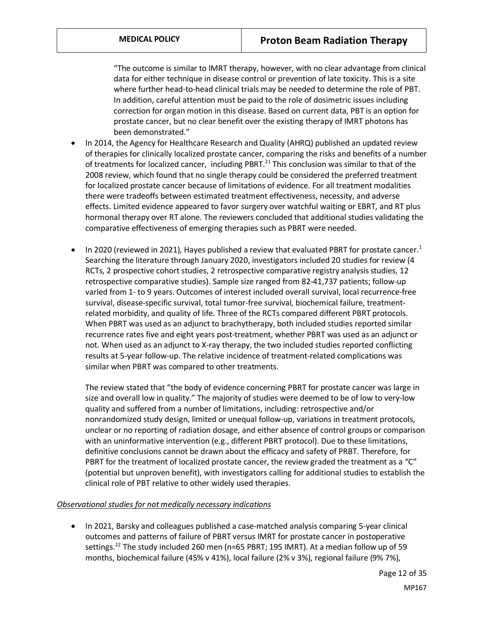"The outcome is similar to IMRT therapy, however, with no clear advantage from clinical data for either technique in disease control or prevention of late toxicity. This is a site where further head-to-head clinical trials may be needed to determine the role of PBT. In addition, careful attention must be paid to the role of dosimetric issues including correction for organ motion in this disease. Based on current data, PBT is an option for prostate cancer, but no clear benefit over the existing therapy of IMRT photons has been demonstrated."

- In 2014, the Agency for Healthcare Research and Quality (AHRQ) published an updated review of therapies for clinically localized prostate cancer, comparing the risks and benefits of a number of treatments for localized cancer, including PBRT.<sup>21</sup> This conclusion was similar to that of the 2008 review, which found that no single therapy could be considered the preferred treatment for localized prostate cancer because of limitations of evidence. For all treatment modalities there were tradeoffs between estimated treatment effectiveness, necessity, and adverse effects. Limited evidence appeared to favor surgery over watchful waiting or EBRT, and RT plus hormonal therapy over RT alone. The reviewers concluded that additional studies validating the comparative effectiveness of emerging therapies such as PBRT were needed.
- $\bullet$  In 2020 (reviewed in 2021), Hayes published a review that evaluated PBRT for prostate cancer.<sup>1</sup> Searching the literature through January 2020, investigators included 20 studies for review (4 RCTs, 2 prospective cohort studies, 2 retrospective comparative registry analysis studies, 12 retrospective comparative studies). Sample size ranged from 82-41,737 patients; follow-up varied from 1- to 9 years. Outcomes of interest included overall survival, local recurrence-free survival, disease-specific survival, total tumor-free survival, biochemical failure, treatmentrelated morbidity, and quality of life. Three of the RCTs compared different PBRT protocols. When PBRT was used as an adjunct to brachytherapy, both included studies reported similar recurrence rates five and eight years post-treatment, whether PBRT was used as an adjunct or not. When used as an adjunct to X-ray therapy, the two included studies reported conflicting results at 5-year follow-up. The relative incidence of treatment-related complications was similar when PBRT was compared to other treatments.

The review stated that "the body of evidence concerning PBRT for prostate cancer was large in size and overall low in quality." The majority of studies were deemed to be of low to very-low quality and suffered from a number of limitations, including: retrospective and/or nonrandomized study design, limited or unequal follow-up, variations in treatment protocols, unclear or no reporting of radiation dosage, and either absence of control groups or comparison with an uninformative intervention (e.g., different PBRT protocol). Due to these limitations, definitive conclusions cannot be drawn about the efficacy and safety of PRBT. Therefore, for PBRT for the treatment of localized prostate cancer, the review graded the treatment as a "C" (potential but unproven benefit), with investigators calling for additional studies to establish the clinical role of PBT relative to other widely used therapies.

#### *Observational studies for not medically necessary indications*

• In 2021, Barsky and colleagues published a case-matched analysis comparing 5-year clinical outcomes and patterns of failure of PBRT versus IMRT for prostate cancer in postoperative settings.<sup>22</sup> The study included 260 men (n=65 PBRT; 195 IMRT). At a median follow up of 59 months, biochemical failure (45% v 41%), local failure (2% v 3%), regional failure (9% 7%),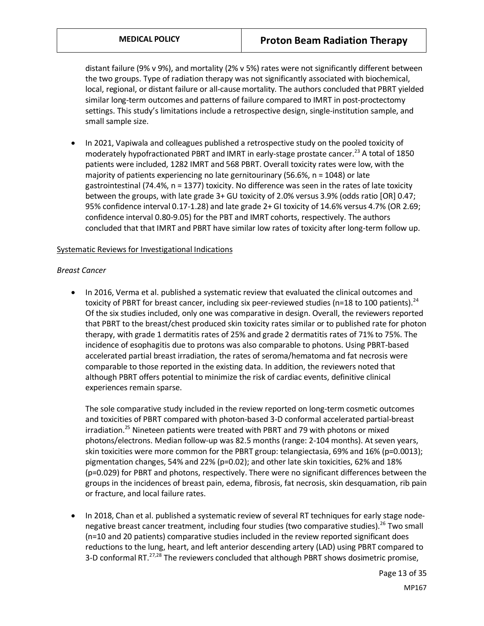distant failure (9% v 9%), and mortality (2% v 5%) rates were not significantly different between the two groups. Type of radiation therapy was not significantly associated with biochemical, local, regional, or distant failure or all-cause mortality. The authors concluded that PBRT yielded similar long-term outcomes and patterns of failure compared to IMRT in post-proctectomy settings. This study's limitations include a retrospective design, single-institution sample, and small sample size.

• In 2021, Vapiwala and colleagues published a retrospective study on the pooled toxicity of moderately hypofractionated PBRT and IMRT in early-stage prostate cancer.<sup>23</sup> A total of 1850 patients were included, 1282 IMRT and 568 PBRT. Overall toxicity rates were low, with the majority of patients experiencing no late gernitourinary (56.6%,  $n = 1048$ ) or late gastrointestinal (74.4%, n = 1377) toxicity. No difference was seen in the rates of late toxicity between the groups, with late grade 3+ GU toxicity of 2.0% versus 3.9% (odds ratio [OR] 0.47; 95% confidence interval 0.17-1.28) and late grade 2+ GI toxicity of 14.6% versus 4.7% (OR 2.69; confidence interval 0.80-9.05) for the PBT and IMRT cohorts, respectively. The authors concluded that that IMRT and PBRT have similar low rates of toxicity after long-term follow up.

#### Systematic Reviews for Investigational Indications

#### *Breast Cancer*

• In 2016, Verma et al. published a systematic review that evaluated the clinical outcomes and toxicity of PBRT for breast cancer, including six peer-reviewed studies (n=18 to 100 patients).<sup>24</sup> Of the six studies included, only one was comparative in design. Overall, the reviewers reported that PBRT to the breast/chest produced skin toxicity rates similar or to published rate for photon therapy, with grade 1 dermatitis rates of 25% and grade 2 dermatitis rates of 71% to 75%. The incidence of esophagitis due to protons was also comparable to photons. Using PBRT-based accelerated partial breast irradiation, the rates of seroma/hematoma and fat necrosis were comparable to those reported in the existing data. In addition, the reviewers noted that although PBRT offers potential to minimize the risk of cardiac events, definitive clinical experiences remain sparse.

The sole comparative study included in the review reported on long-term cosmetic outcomes and toxicities of PBRT compared with photon-based 3-D conformal accelerated partial-breast irradiation.<sup>25</sup> Nineteen patients were treated with PBRT and 79 with photons or mixed photons/electrons. Median follow-up was 82.5 months (range: 2-104 months). At seven years, skin toxicities were more common for the PBRT group: telangiectasia, 69% and 16% (p=0.0013); pigmentation changes, 54% and 22% (p=0.02); and other late skin toxicities, 62% and 18% (p=0.029) for PBRT and photons, respectively. There were no significant differences between the groups in the incidences of breast pain, edema, fibrosis, fat necrosis, skin desquamation, rib pain or fracture, and local failure rates.

• In 2018, Chan et al. published a systematic review of several RT techniques for early stage nodenegative breast cancer treatment, including four studies (two comparative studies).<sup>26</sup> Two small (n=10 and 20 patients) comparative studies included in the review reported significant does reductions to the lung, heart, and left anterior descending artery (LAD) using PBRT compared to 3-D conformal RT. $27,28$  The reviewers concluded that although PBRT shows dosimetric promise,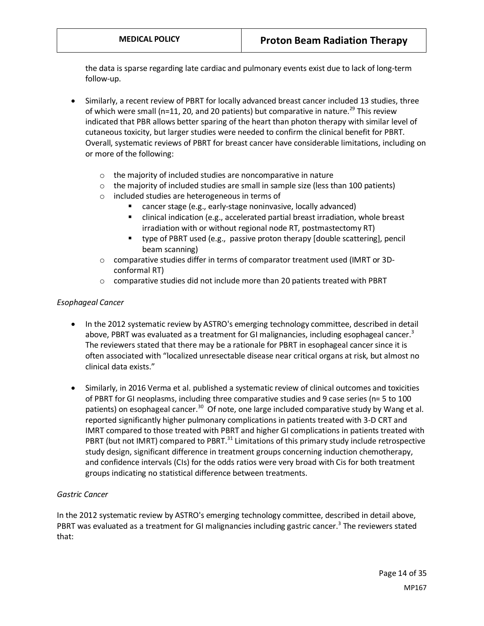the data is sparse regarding late cardiac and pulmonary events exist due to lack of long-term follow-up.

- Similarly, a recent review of PBRT for locally advanced breast cancer included 13 studies, three of which were small (n=11, 20, and 20 patients) but comparative in nature.<sup>29</sup> This review indicated that PBR allows better sparing of the heart than photon therapy with similar level of cutaneous toxicity, but larger studies were needed to confirm the clinical benefit for PBRT. Overall, systematic reviews of PBRT for breast cancer have considerable limitations, including on or more of the following:
	- o the majority of included studies are noncomparative in nature
	- $\circ$  the majority of included studies are small in sample size (less than 100 patients)
	- o included studies are heterogeneous in terms of
		- cancer stage (e.g., early-stage noninvasive, locally advanced)
		- clinical indication (e.g., accelerated partial breast irradiation, whole breast irradiation with or without regional node RT, postmastectomy RT)
		- type of PBRT used (e.g., passive proton therapy [double scattering], pencil beam scanning)
	- o comparative studies differ in terms of comparator treatment used (IMRT or 3Dconformal RT)
	- comparative studies did not include more than 20 patients treated with PBRT

#### *Esophageal Cancer*

- In the 2012 systematic review by ASTRO's emerging technology committee, described in detail above, PBRT was evaluated as a treatment for GI malignancies, including esophageal cancer.<sup>3</sup> The reviewers stated that there may be a rationale for PBRT in esophageal cancer since it is often associated with "localized unresectable disease near critical organs at risk, but almost no clinical data exists."
- Similarly, in 2016 Verma et al. published a systematic review of clinical outcomes and toxicities of PBRT for GI neoplasms, including three comparative studies and 9 case series (n= 5 to 100 patients) on esophageal cancer.<sup>30</sup> Of note, one large included comparative study by Wang et al. reported significantly higher pulmonary complications in patients treated with 3-D CRT and IMRT compared to those treated with PBRT and higher GI complications in patients treated with PBRT (but not IMRT) compared to PBRT.<sup>31</sup> Limitations of this primary study include retrospective study design, significant difference in treatment groups concerning induction chemotherapy, and confidence intervals (CIs) for the odds ratios were very broad with Cis for both treatment groups indicating no statistical difference between treatments.

#### *Gastric Cancer*

In the 2012 systematic review by ASTRO's emerging technology committee, described in detail above, PBRT was evaluated as a treatment for GI malignancies including gastric cancer.<sup>3</sup> The reviewers stated that: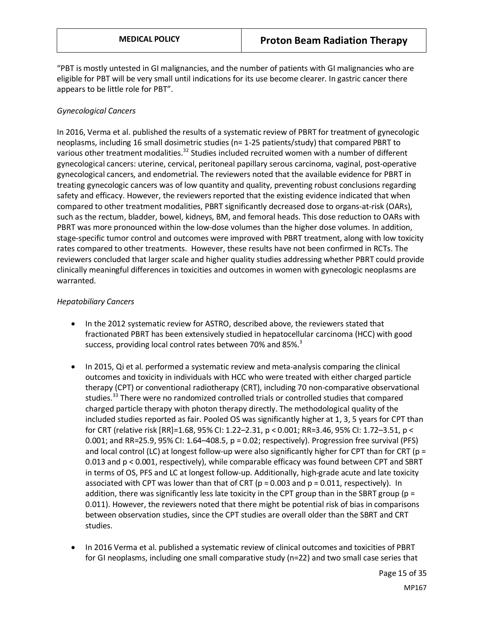"PBT is mostly untested in GI malignancies, and the number of patients with GI malignancies who are eligible for PBT will be very small until indications for its use become clearer. In gastric cancer there appears to be little role for PBT".

#### *Gynecological Cancers*

In 2016, Verma et al. published the results of a systematic review of PBRT for treatment of gynecologic neoplasms, including 16 small dosimetric studies (n= 1-25 patients/study) that compared PBRT to various other treatment modalities.<sup>32</sup> Studies included recruited women with a number of different gynecological cancers: uterine, cervical, peritoneal papillary serous carcinoma, vaginal, post-operative gynecological cancers, and endometrial. The reviewers noted that the available evidence for PBRT in treating gynecologic cancers was of low quantity and quality, preventing robust conclusions regarding safety and efficacy. However, the reviewers reported that the existing evidence indicated that when compared to other treatment modalities, PBRT significantly decreased dose to organs-at-risk (OARs), such as the rectum, bladder, bowel, kidneys, BM, and femoral heads. This dose reduction to OARs with PBRT was more pronounced within the low-dose volumes than the higher dose volumes. In addition, stage-specific tumor control and outcomes were improved with PBRT treatment, along with low toxicity rates compared to other treatments. However, these results have not been confirmed in RCTs. The reviewers concluded that larger scale and higher quality studies addressing whether PBRT could provide clinically meaningful differences in toxicities and outcomes in women with gynecologic neoplasms are warranted.

#### *Hepatobiliary Cancers*

- In the 2012 systematic review for ASTRO, described above, the reviewers stated that fractionated PBRT has been extensively studied in hepatocellular carcinoma (HCC) with good success, providing local control rates between 70% and 85%.<sup>3</sup>
- In 2015, Qi et al. performed a systematic review and meta-analysis comparing the clinical outcomes and toxicity in individuals with HCC who were treated with either charged particle therapy (CPT) or conventional radiotherapy (CRT), including 70 non-comparative observational studies.<sup>33</sup> There were no randomized controlled trials or controlled studies that compared charged particle therapy with photon therapy directly. The methodological quality of the included studies reported as fair. Pooled OS was significantly higher at 1, 3, 5 years for CPT than for CRT (relative risk [RR]=1.68, 95% CI: 1.22–2.31, p < 0.001; RR=3.46, 95% CI: 1.72–3.51, p < 0.001; and RR=25.9, 95% CI: 1.64–408.5, p = 0.02; respectively). Progression free survival (PFS) and local control (LC) at longest follow-up were also significantly higher for CPT than for CRT ( $p =$ 0.013 and p < 0.001, respectively), while comparable efficacy was found between CPT and SBRT in terms of OS, PFS and LC at longest follow-up. Additionally, high-grade acute and late toxicity associated with CPT was lower than that of CRT ( $p = 0.003$  and  $p = 0.011$ , respectively). In addition, there was significantly less late toxicity in the CPT group than in the SBRT group ( $p =$ 0.011). However, the reviewers noted that there might be potential risk of bias in comparisons between observation studies, since the CPT studies are overall older than the SBRT and CRT studies.
- In 2016 Verma et al. published a systematic review of clinical outcomes and toxicities of PBRT for GI neoplasms, including one small comparative study (n=22) and two small case series that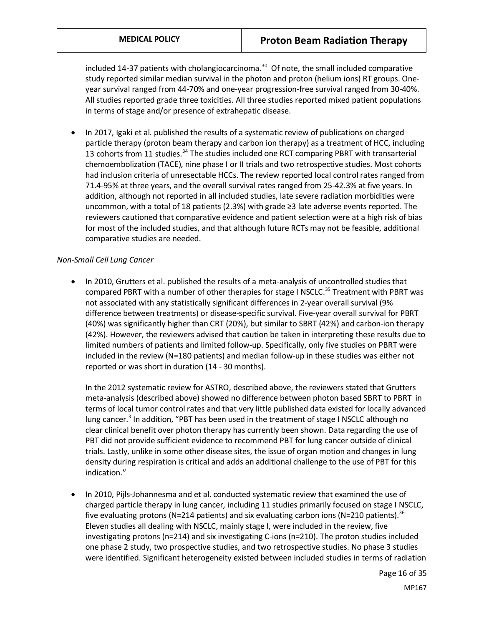included 14-37 patients with cholangiocarcinoma. $30$  Of note, the small included comparative study reported similar median survival in the photon and proton (helium ions) RT groups. Oneyear survival ranged from 44-70% and one-year progression-free survival ranged from 30-40%. All studies reported grade three toxicities. All three studies reported mixed patient populations in terms of stage and/or presence of extrahepatic disease.

• In 2017, Igaki et al. published the results of a systematic review of publications on charged particle therapy (proton beam therapy and carbon ion therapy) as a treatment of HCC, including 13 cohorts from 11 studies.<sup>34</sup> The studies included one RCT comparing PBRT with transarterial chemoembolization (TACE), nine phase I or II trials and two retrospective studies. Most cohorts had inclusion criteria of unresectable HCCs. The review reported local control rates ranged from 71.4-95% at three years, and the overall survival rates ranged from 25-42.3% at five years. In addition, although not reported in all included studies, late severe radiation morbidities were uncommon, with a total of 18 patients (2.3%) with grade ≥3 late adverse events reported. The reviewers cautioned that comparative evidence and patient selection were at a high risk of bias for most of the included studies, and that although future RCTs may not be feasible, additional comparative studies are needed.

#### *Non-Small Cell Lung Cancer*

• In 2010, Grutters et al. published the results of a meta-analysis of uncontrolled studies that compared PBRT with a number of other therapies for stage I NSCLC.<sup>35</sup> Treatment with PBRT was not associated with any statistically significant differences in 2-year overall survival (9% difference between treatments) or disease-specific survival. Five-year overall survival for PBRT (40%) was significantly higher than CRT (20%), but similar to SBRT (42%) and carbon-ion therapy (42%). However, the reviewers advised that caution be taken in interpreting these results due to limited numbers of patients and limited follow-up. Specifically, only five studies on PBRT were included in the review (N=180 patients) and median follow-up in these studies was either not reported or was short in duration (14 - 30 months).

In the 2012 systematic review for ASTRO, described above, the reviewers stated that Grutters meta-analysis (described above) showed no difference between photon based SBRT to PBRT in terms of local tumor control rates and that very little published data existed for locally advanced lung cancer.<sup>3</sup> In addition, "PBT has been used in the treatment of stage I NSCLC although no clear clinical benefit over photon therapy has currently been shown. Data regarding the use of PBT did not provide sufficient evidence to recommend PBT for lung cancer outside of clinical trials. Lastly, unlike in some other disease sites, the issue of organ motion and changes in lung density during respiration is critical and adds an additional challenge to the use of PBT for this indication."

• In 2010, Pijls-Johannesma and et al. conducted systematic review that examined the use of charged particle therapy in lung cancer, including 11 studies primarily focused on stage I NSCLC, five evaluating protons (N=214 patients) and six evaluating carbon ions (N=210 patients).<sup>36</sup> Eleven studies all dealing with NSCLC, mainly stage I, were included in the review, five investigating protons (n=214) and six investigating C-ions (n=210). The proton studies included one phase 2 study, two prospective studies, and two retrospective studies. No phase 3 studies were identified. Significant heterogeneity existed between included studies in terms of radiation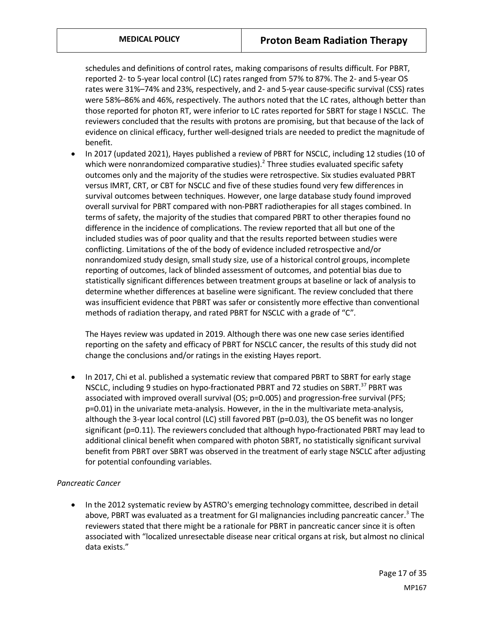schedules and definitions of control rates, making comparisons of results difficult. For PBRT, reported 2- to 5-year local control (LC) rates ranged from 57% to 87%. The 2- and 5-year OS rates were 31%–74% and 23%, respectively, and 2- and 5-year cause-specific survival (CSS) rates were 58%–86% and 46%, respectively. The authors noted that the LC rates, although better than those reported for photon RT, were inferior to LC rates reported for SBRT for stage I NSCLC. The reviewers concluded that the results with protons are promising, but that because of the lack of evidence on clinical efficacy, further well-designed trials are needed to predict the magnitude of benefit.

• In 2017 (updated 2021), Hayes published a review of PBRT for NSCLC, including 12 studies (10 of which were nonrandomized comparative studies). $^2$  Three studies evaluated specific safety outcomes only and the majority of the studies were retrospective. Six studies evaluated PBRT versus IMRT, CRT, or CBT for NSCLC and five of these studies found very few differences in survival outcomes between techniques. However, one large database study found improved overall survival for PBRT compared with non-PBRT radiotherapies for all stages combined. In terms of safety, the majority of the studies that compared PBRT to other therapies found no difference in the incidence of complications. The review reported that all but one of the included studies was of poor quality and that the results reported between studies were conflicting. Limitations of the of the body of evidence included retrospective and/or nonrandomized study design, small study size, use of a historical control groups, incomplete reporting of outcomes, lack of blinded assessment of outcomes, and potential bias due to statistically significant differences between treatment groups at baseline or lack of analysis to determine whether differences at baseline were significant. The review concluded that there was insufficient evidence that PBRT was safer or consistently more effective than conventional methods of radiation therapy, and rated PBRT for NSCLC with a grade of "C".

The Hayes review was updated in 2019. Although there was one new case series identified reporting on the safety and efficacy of PBRT for NSCLC cancer, the results of this study did not change the conclusions and/or ratings in the existing Hayes report.

• In 2017, Chi et al. published a systematic review that compared PBRT to SBRT for early stage NSCLC, including 9 studies on hypo-fractionated PBRT and 72 studies on SBRT.<sup>37</sup> PBRT was associated with improved overall survival (OS; p=0.005) and progression-free survival (PFS; p=0.01) in the univariate meta-analysis. However, in the in the multivariate meta-analysis, although the 3-year local control (LC) still favored PBT (p=0.03), the OS benefit was no longer significant (p=0.11). The reviewers concluded that although hypo-fractionated PBRT may lead to additional clinical benefit when compared with photon SBRT, no statistically significant survival benefit from PBRT over SBRT was observed in the treatment of early stage NSCLC after adjusting for potential confounding variables.

#### *Pancreatic Cancer*

• In the 2012 systematic review by ASTRO's emerging technology committee, described in detail above, PBRT was evaluated as a treatment for GI malignancies including pancreatic cancer.<sup>3</sup> The reviewers stated that there might be a rationale for PBRT in pancreatic cancer since it is often associated with "localized unresectable disease near critical organs at risk, but almost no clinical data exists."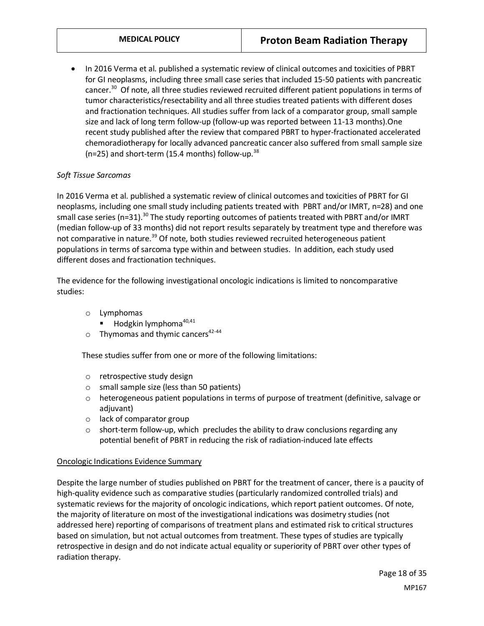• In 2016 Verma et al. published a systematic review of clinical outcomes and toxicities of PBRT for GI neoplasms, including three small case series that included 15-50 patients with pancreatic cancer.<sup>30</sup> Of note, all three studies reviewed recruited different patient populations in terms of tumor characteristics/resectability and all three studies treated patients with different doses and fractionation techniques. All studies suffer from lack of a comparator group, small sample size and lack of long term follow-up (follow-up was reported between 11-13 months).One recent study published after the review that compared PBRT to hyper-fractionated accelerated chemoradiotherapy for locally advanced pancreatic cancer also suffered from small sample size ( $n=25$ ) and short-term (15.4 months) follow-up.<sup>38</sup>

#### *Soft Tissue Sarcomas*

In 2016 Verma et al. published a systematic review of clinical outcomes and toxicities of PBRT for GI neoplasms, including one small study including patients treated with PBRT and/or IMRT, n=28) and one small case series (n=31).<sup>30</sup> The study reporting outcomes of patients treated with PBRT and/or IMRT (median follow-up of 33 months) did not report results separately by treatment type and therefore was not comparative in nature.<sup>39</sup> Of note, both studies reviewed recruited heterogeneous patient populations in terms of sarcoma type within and between studies. In addition, each study used different doses and fractionation techniques.

The evidence for the following investigational oncologic indications is limited to noncomparative studies:

- o Lymphomas
	- Hodgkin lymphoma<sup>40,41</sup>
- $\circ$  Thymomas and thymic cancers<sup>42-44</sup>

These studies suffer from one or more of the following limitations:

- o retrospective study design
- o small sample size (less than 50 patients)
- o heterogeneous patient populations in terms of purpose of treatment (definitive, salvage or adjuvant)
- o lack of comparator group
- o short-term follow-up, which precludes the ability to draw conclusions regarding any potential benefit of PBRT in reducing the risk of radiation-induced late effects

#### Oncologic Indications Evidence Summary

Despite the large number of studies published on PBRT for the treatment of cancer, there is a paucity of high-quality evidence such as comparative studies (particularly randomized controlled trials) and systematic reviews for the majority of oncologic indications, which report patient outcomes. Of note, the majority of literature on most of the investigational indications was dosimetry studies (not addressed here) reporting of comparisons of treatment plans and estimated risk to critical structures based on simulation, but not actual outcomes from treatment. These types of studies are typically retrospective in design and do not indicate actual equality or superiority of PBRT over other types of radiation therapy.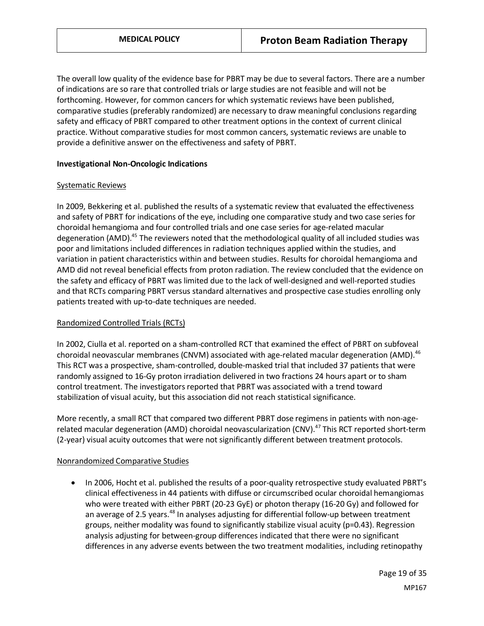The overall low quality of the evidence base for PBRT may be due to several factors. There are a number of indications are so rare that controlled trials or large studies are not feasible and will not be forthcoming. However, for common cancers for which systematic reviews have been published, comparative studies (preferably randomized) are necessary to draw meaningful conclusions regarding safety and efficacy of PBRT compared to other treatment options in the context of current clinical practice. Without comparative studies for most common cancers, systematic reviews are unable to provide a definitive answer on the effectiveness and safety of PBRT.

#### **Investigational Non-Oncologic Indications**

#### Systematic Reviews

In 2009, Bekkering et al. published the results of a systematic review that evaluated the effectiveness and safety of PBRT for indications of the eye, including one comparative study and two case series for choroidal hemangioma and four controlled trials and one case series for age-related macular degeneration (AMD).<sup>45</sup> The reviewers noted that the methodological quality of all included studies was poor and limitations included differences in radiation techniques applied within the studies, and variation in patient characteristics within and between studies. Results for choroidal hemangioma and AMD did not reveal beneficial effects from proton radiation. The review concluded that the evidence on the safety and efficacy of PBRT was limited due to the lack of well-designed and well-reported studies and that RCTs comparing PBRT versus standard alternatives and prospective case studies enrolling only patients treated with up-to-date techniques are needed.

#### Randomized Controlled Trials (RCTs)

In 2002, Ciulla et al. reported on a sham-controlled RCT that examined the effect of PBRT on subfoveal choroidal neovascular membranes (CNVM) associated with age-related macular degeneration (AMD).<sup>46</sup> This RCT was a prospective, sham-controlled, double-masked trial that included 37 patients that were randomly assigned to 16-Gy proton irradiation delivered in two fractions 24 hours apart or to sham control treatment. The investigators reported that PBRT was associated with a trend toward stabilization of visual acuity, but this association did not reach statistical significance.

More recently, a small RCT that compared two different PBRT dose regimens in patients with non-agerelated macular degeneration (AMD) choroidal neovascularization (CNV).<sup>47</sup> This RCT reported short-term (2-year) visual acuity outcomes that were not significantly different between treatment protocols.

#### Nonrandomized Comparative Studies

• In 2006, Hocht et al. published the results of a poor-quality retrospective study evaluated PBRT's clinical effectiveness in 44 patients with diffuse or circumscribed ocular choroidal hemangiomas who were treated with either PBRT (20-23 GyE) or photon therapy (16-20 Gy) and followed for an average of 2.5 years.<sup>48</sup> In analyses adjusting for differential follow-up between treatment groups, neither modality was found to significantly stabilize visual acuity ( $p=0.43$ ). Regression analysis adjusting for between-group differences indicated that there were no significant differences in any adverse events between the two treatment modalities, including retinopathy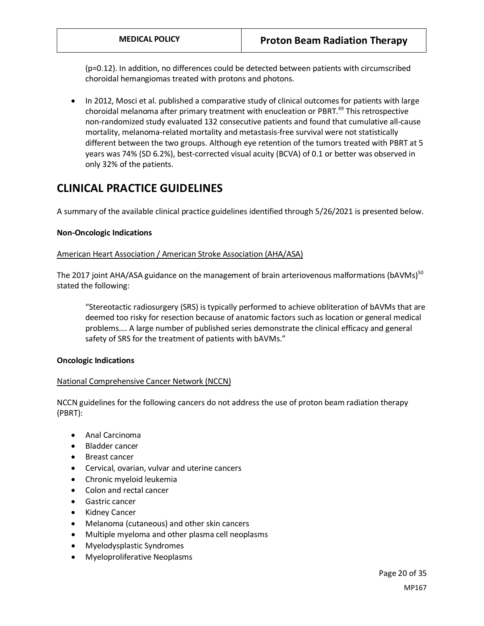(p=0.12). In addition, no differences could be detected between patients with circumscribed choroidal hemangiomas treated with protons and photons.

• In 2012, Mosci et al. published a comparative study of clinical outcomes for patients with large choroidal melanoma after primary treatment with enucleation or PBRT.<sup>49</sup> This retrospective non-randomized study evaluated 132 consecutive patients and found that cumulative all-cause mortality, melanoma-related mortality and metastasis-free survival were not statistically different between the two groups. Although eye retention of the tumors treated with PBRT at 5 years was 74% (SD 6.2%), best-corrected visual acuity (BCVA) of 0.1 or better was observed in only 32% of the patients.

# **CLINICAL PRACTICE GUIDELINES**

A summary of the available clinical practice guidelines identified through 5/26/2021 is presented below.

#### **Non-Oncologic Indications**

#### American Heart Association / American Stroke Association (AHA/ASA)

The 2017 joint AHA/ASA guidance on the management of brain arteriovenous malformations (bAVMs)<sup>50</sup> stated the following:

"Stereotactic radiosurgery (SRS) is typically performed to achieve obliteration of bAVMs that are deemed too risky for resection because of anatomic factors such as location or general medical problems…. A large number of published series demonstrate the clinical efficacy and general safety of SRS for the treatment of patients with bAVMs."

#### **Oncologic Indications**

#### National Comprehensive Cancer Network (NCCN)

NCCN guidelines for the following cancers do not address the use of proton beam radiation therapy (PBRT):

- Anal Carcinoma
- Bladder cancer
- Breast cancer
- Cervical, ovarian, vulvar and uterine cancers
- Chronic myeloid leukemia
- Colon and rectal cancer
- Gastric cancer
- Kidney Cancer
- Melanoma (cutaneous) and other skin cancers
- Multiple myeloma and other plasma cell neoplasms
- Myelodysplastic Syndromes
- Myeloproliferative Neoplasms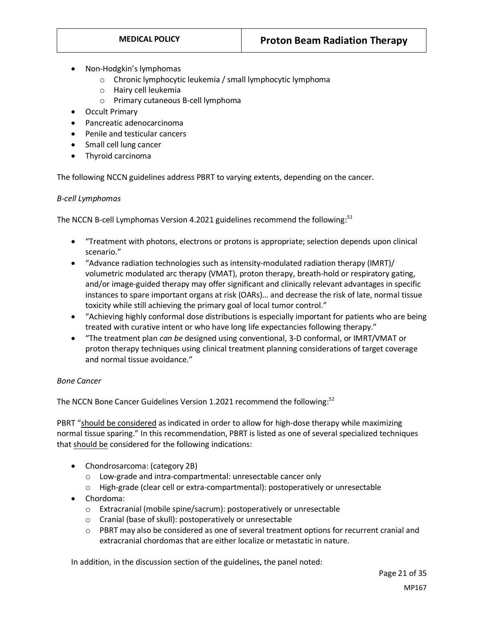- Non-Hodgkin's lymphomas
	- o Chronic lymphocytic leukemia / small lymphocytic lymphoma
	- o Hairy cell leukemia
	- o Primary cutaneous B-cell lymphoma
- Occult Primary
- Pancreatic adenocarcinoma
- Penile and testicular cancers
- Small cell lung cancer
- Thyroid carcinoma

The following NCCN guidelines address PBRT to varying extents, depending on the cancer.

#### *B-cell Lymphomas*

The NCCN B-cell Lymphomas Version 4.2021 guidelines recommend the following: $51$ 

- "Treatment with photons, electrons or protons is appropriate; selection depends upon clinical scenario."
- "Advance radiation technologies such as intensity-modulated radiation therapy (IMRT)/ volumetric modulated arc therapy (VMAT), proton therapy, breath-hold or respiratory gating, and/or image-guided therapy may offer significant and clinically relevant advantages in specific instances to spare important organs at risk (OARs)… and decrease the risk of late, normal tissue toxicity while still achieving the primary goal of local tumor control."
- "Achieving highly conformal dose distributions is especially important for patients who are being treated with curative intent or who have long life expectancies following therapy."
- "The treatment plan *can be* designed using conventional, 3-D conformal, or IMRT/VMAT or proton therapy techniques using clinical treatment planning considerations of target coverage and normal tissue avoidance."

#### *Bone Cancer*

The NCCN Bone Cancer Guidelines Version 1.2021 recommend the following:52

PBRT "should be considered as indicated in order to allow for high-dose therapy while maximizing normal tissue sparing." In this recommendation, PBRT is listed as one of several specialized techniques that should be considered for the following indications:

- Chondrosarcoma: (category 2B)
	- o Low-grade and intra-compartmental: unresectable cancer only
	- o High-grade (clear cell or extra-compartmental): postoperatively or unresectable
- Chordoma:
	- o Extracranial (mobile spine/sacrum): postoperatively or unresectable
	- o Cranial (base of skull): postoperatively or unresectable
	- o PBRT may also be considered as one of several treatment options for recurrent cranial and extracranial chordomas that are either localize or metastatic in nature.

In addition, in the discussion section of the guidelines, the panel noted: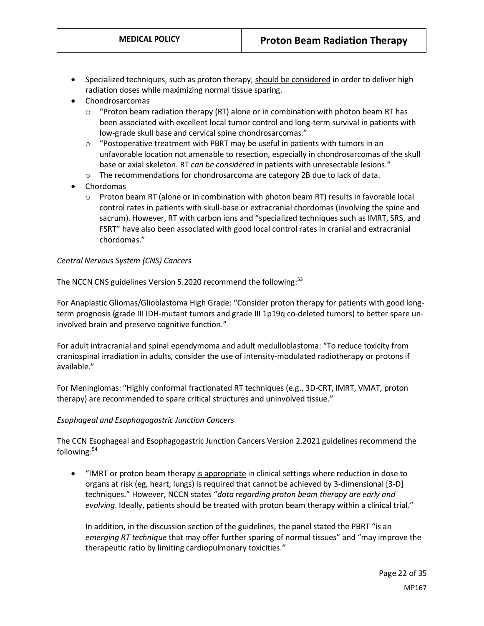- Specialized techniques, such as proton therapy, should be considered in order to deliver high radiation doses while maximizing normal tissue sparing.
- Chondrosarcomas
	- $\circ$  "Proton beam radiation therapy (RT) alone or in combination with photon beam RT has been associated with excellent local tumor control and long-term survival in patients with low-grade skull base and cervical spine chondrosarcomas."
	- $\circ$  "Postoperative treatment with PBRT may be useful in patients with tumors in an unfavorable location not amenable to resection, especially in chondrosarcomas of the skull base or axial skeleton. RT *can be considered* in patients with unresectable lesions."
	- o The recommendations for chondrosarcoma are category 2B due to lack of data.
- Chordomas
	- o Proton beam RT (alone or in combination with photon beam RT) results in favorable local control rates in patients with skull-base or extracranial chordomas (involving the spine and sacrum). However, RT with carbon ions and "specialized techniques such as IMRT, SRS, and FSRT" have also been associated with good local control rates in cranial and extracranial chordomas."

#### *Central Nervous System (CNS) Cancers*

The NCCN CNS guidelines Version 5.2020 recommend the following:<sup>53</sup>

For Anaplastic Gliomas/Glioblastoma High Grade: "Consider proton therapy for patients with good longterm prognosis (grade III IDH-mutant tumors and grade III 1p19q co-deleted tumors) to better spare uninvolved brain and preserve cognitive function."

For adult intracranial and spinal ependymoma and adult medulloblastoma: "To reduce toxicity from craniospinal irradiation in adults, consider the use of intensity-modulated radiotherapy or protons if available."

For Meningiomas: "Highly conformal fractionated RT techniques (e.g., 3D-CRT, IMRT, VMAT, proton therapy) are recommended to spare critical structures and uninvolved tissue."

#### *Esophageal and Esophagogastric Junction Cancers*

The CCN Esophageal and Esophagogastric Junction Cancers Version 2.2021 guidelines recommend the following:<sup>54</sup>

"IMRT or proton beam therapy is appropriate in clinical settings where reduction in dose to organs at risk (eg, heart, lungs) is required that cannot be achieved by 3-dimensional [3-D] techniques." However, NCCN states "*data regarding proton beam therapy are early and evolving*. Ideally, patients should be treated with proton beam therapy within a clinical trial."

In addition, in the discussion section of the guidelines, the panel stated the PBRT "is an *emerging RT technique* that may offer further sparing of normal tissues" and "may improve the therapeutic ratio by limiting cardiopulmonary toxicities."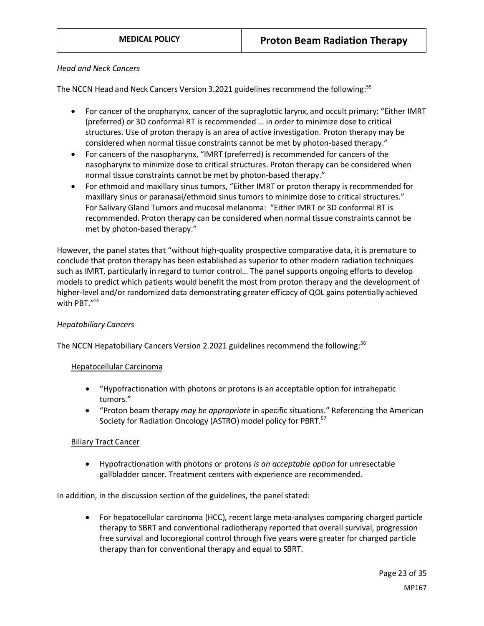#### *Head and Neck Cancers*

The NCCN Head and Neck Cancers Version 3.2021 guidelines recommend the following:55

- For cancer of the oropharynx, cancer of the supraglottic larynx, and occult primary: "Either IMRT (preferred) or 3D conformal RT is recommended … in order to minimize dose to critical structures. Use of proton therapy is an area of active investigation. Proton therapy may be considered when normal tissue constraints cannot be met by photon-based therapy."
- For cancers of the nasopharynx, "IMRT (preferred) is recommended for cancers of the nasopharynx to minimize dose to critical structures. Proton therapy can be considered when normal tissue constraints cannot be met by photon-based therapy."
- For ethmoid and maxillary sinus tumors, "Either IMRT or proton therapy is recommended for maxillary sinus or paranasal/ethmoid sinus tumors to minimize dose to critical structures." For Salivary Gland Tumors and mucosal melanoma: "Either IMRT or 3D conformal RT is recommended. Proton therapy can be considered when normal tissue constraints cannot be met by photon-based therapy."

However, the panel states that "without high-quality prospective comparative data, it is premature to conclude that proton therapy has been established as superior to other modern radiation techniques such as IMRT, particularly in regard to tumor control… The panel supports ongoing efforts to develop models to predict which patients would benefit the most from proton therapy and the development of higher-level and/or randomized data demonstrating greater efficacy of QOL gains potentially achieved with PBT."55

#### *Hepatobiliary Cancers*

The NCCN Hepatobiliary Cancers Version 2.2021 guidelines recommend the following:<sup>56</sup>

#### Hepatocellular Carcinoma

- "Hypofractionation with photons or protons is an acceptable option for intrahepatic tumors."
- "Proton beam therapy *may be appropriate* in specific situations." Referencing the American Society for Radiation Oncology (ASTRO) model policy for PBRT.<sup>57</sup>

#### Biliary Tract Cancer

• Hypofractionation with photons or protons *is an acceptable option* for unresectable gallbladder cancer. Treatment centers with experience are recommended.

In addition, in the discussion section of the guidelines, the panel stated:

• For hepatocellular carcinoma (HCC), recent large meta-analyses comparing charged particle therapy to SBRT and conventional radiotherapy reported that overall survival, progression free survival and locoregional control through five years were greater for charged particle therapy than for conventional therapy and equal to SBRT.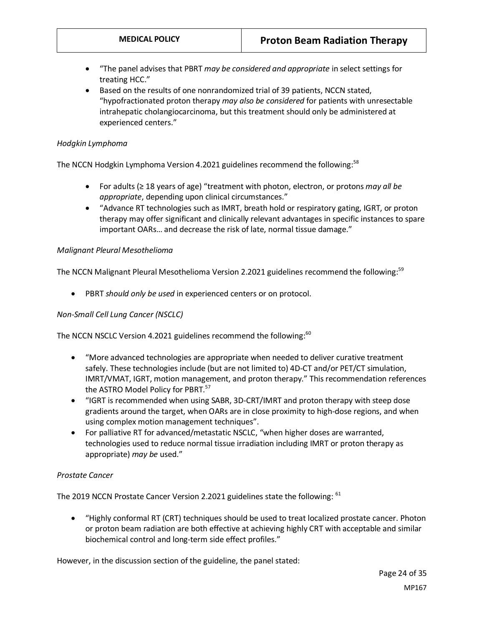- "The panel advises that PBRT *may be considered and appropriate* in select settings for treating HCC."
- Based on the results of one nonrandomized trial of 39 patients, NCCN stated, "hypofractionated proton therapy *may also be considered* for patients with unresectable intrahepatic cholangiocarcinoma, but this treatment should only be administered at experienced centers."

#### *Hodgkin Lymphoma*

The NCCN Hodgkin Lymphoma Version 4.2021 guidelines recommend the following:<sup>58</sup>

- For adults (≥ 18 years of age) "treatment with photon, electron, or protons *may all be appropriate*, depending upon clinical circumstances."
- "Advance RT technologies such as IMRT, breath hold or respiratory gating, IGRT, or proton therapy may offer significant and clinically relevant advantages in specific instances to spare important OARs… and decrease the risk of late, normal tissue damage."

#### *Malignant Pleural Mesothelioma*

The NCCN Malignant Pleural Mesothelioma Version 2.2021 guidelines recommend the following:<sup>59</sup>

• PBRT *should only be used* in experienced centers or on protocol.

#### *Non-Small Cell Lung Cancer (NSCLC)*

The NCCN NSCLC Version 4.2021 guidelines recommend the following: $60$ 

- "More advanced technologies are appropriate when needed to deliver curative treatment safely. These technologies include (but are not limited to) 4D-CT and/or PET/CT simulation, IMRT/VMAT, IGRT, motion management, and proton therapy." This recommendation references the ASTRO Model Policy for PBRT.<sup>57</sup>
- "IGRT is recommended when using SABR, 3D-CRT/IMRT and proton therapy with steep dose gradients around the target, when OARs are in close proximity to high-dose regions, and when using complex motion management techniques".
- For palliative RT for advanced/metastatic NSCLC, "when higher doses are warranted, technologies used to reduce normal tissue irradiation including IMRT or proton therapy as appropriate) *may be* used."

#### *Prostate Cancer*

The 2019 NCCN Prostate Cancer Version 2.2021 guidelines state the following: <sup>61</sup>

• "Highly conformal RT (CRT) techniques should be used to treat localized prostate cancer. Photon or proton beam radiation are both effective at achieving highly CRT with acceptable and similar biochemical control and long-term side effect profiles."

However, in the discussion section of the guideline, the panel stated: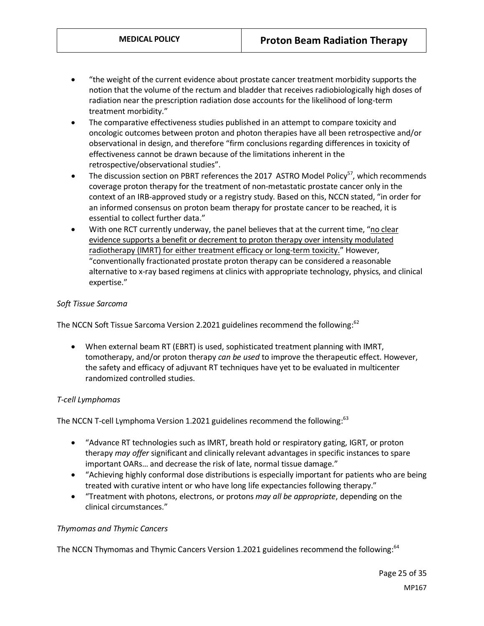- "the weight of the current evidence about prostate cancer treatment morbidity supports the notion that the volume of the rectum and bladder that receives radiobiologically high doses of radiation near the prescription radiation dose accounts for the likelihood of long-term treatment morbidity."
- The comparative effectiveness studies published in an attempt to compare toxicity and oncologic outcomes between proton and photon therapies have all been retrospective and/or observational in design, and therefore "firm conclusions regarding differences in toxicity of effectiveness cannot be drawn because of the limitations inherent in the retrospective/observational studies".
- The discussion section on PBRT references the 2017 ASTRO Model Policy<sup>57</sup>, which recommends coverage proton therapy for the treatment of non-metastatic prostate cancer only in the context of an IRB-approved study or a registry study. Based on this, NCCN stated, "in order for an informed consensus on proton beam therapy for prostate cancer to be reached, it is essential to collect further data."
- With one RCT currently underway, the panel believes that at the current time, "no clear evidence supports a benefit or decrement to proton therapy over intensity modulated radiotherapy (IMRT) for either treatment efficacy or long-term toxicity." However, "conventionally fractionated prostate proton therapy can be considered a reasonable alternative to x-ray based regimens at clinics with appropriate technology, physics, and clinical expertise."

#### *Soft Tissue Sarcoma*

The NCCN Soft Tissue Sarcoma Version 2.2021 guidelines recommend the following:<sup>62</sup>

• When external beam RT (EBRT) is used, sophisticated treatment planning with IMRT, tomotherapy, and/or proton therapy *can be used* to improve the therapeutic effect. However, the safety and efficacy of adjuvant RT techniques have yet to be evaluated in multicenter randomized controlled studies.

#### *T-cell Lymphomas*

The NCCN T-cell Lymphoma Version 1.2021 guidelines recommend the following:<sup>63</sup>

- "Advance RT technologies such as IMRT, breath hold or respiratory gating, IGRT, or proton therapy *may offer* significant and clinically relevant advantages in specific instances to spare important OARs… and decrease the risk of late, normal tissue damage."
- "Achieving highly conformal dose distributions is especially important for patients who are being treated with curative intent or who have long life expectancies following therapy."
- "Treatment with photons, electrons, or protons *may all be appropriate*, depending on the clinical circumstances."

#### *Thymomas and Thymic Cancers*

The NCCN Thymomas and Thymic Cancers Version 1.2021 guidelines recommend the following:<sup>64</sup>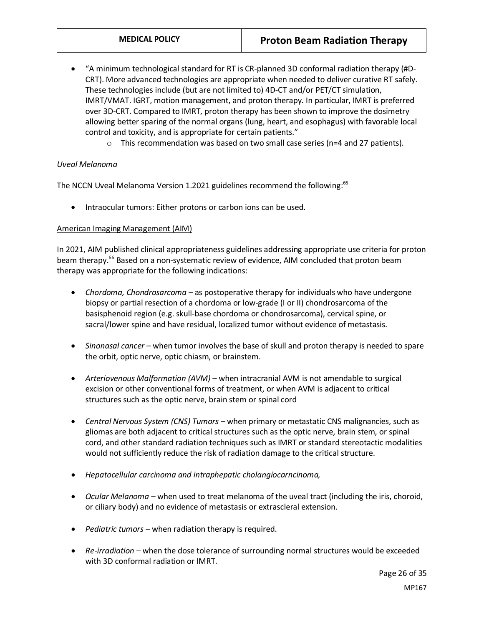- "A minimum technological standard for RT is CR-planned 3D conformal radiation therapy (#D-CRT). More advanced technologies are appropriate when needed to deliver curative RT safely. These technologies include (but are not limited to) 4D-CT and/or PET/CT simulation, IMRT/VMAT. IGRT, motion management, and proton therapy. In particular, IMRT is preferred over 3D-CRT. Compared to IMRT, proton therapy has been shown to improve the dosimetry allowing better sparing of the normal organs (lung, heart, and esophagus) with favorable local control and toxicity, and is appropriate for certain patients."
	- $\circ$  This recommendation was based on two small case series (n=4 and 27 patients).

#### *Uveal Melanoma*

The NCCN Uveal Melanoma Version 1.2021 guidelines recommend the following:<sup>65</sup>

• Intraocular tumors: Either protons or carbon ions can be used.

#### American Imaging Management (AIM)

In 2021, AIM published clinical appropriateness guidelines addressing appropriate use criteria for proton beam therapy.<sup>66</sup> Based on a non-systematic review of evidence, AIM concluded that proton beam therapy was appropriate for the following indications:

- *Chordoma, Chondrosarcoma* as postoperative therapy for individuals who have undergone biopsy or partial resection of a chordoma or low-grade (I or II) chondrosarcoma of the basisphenoid region (e.g. skull-base chordoma or chondrosarcoma), cervical spine, or sacral/lower spine and have residual, localized tumor without evidence of metastasis.
- *Sinonasal cancer* when tumor involves the base of skull and proton therapy is needed to spare the orbit, optic nerve, optic chiasm, or brainstem.
- *Arteriovenous Malformation (AVM)*  when intracranial AVM is not amendable to surgical excision or other conventional forms of treatment, or when AVM is adjacent to critical structures such as the optic nerve, brain stem or spinal cord
- *Central Nervous System (CNS) Tumors –* when primary or metastatic CNS malignancies, such as gliomas are both adjacent to critical structures such as the optic nerve, brain stem, or spinal cord, and other standard radiation techniques such as IMRT or standard stereotactic modalities would not sufficiently reduce the risk of radiation damage to the critical structure.
- *Hepatocellular carcinoma and intraphepatic cholangiocarncinoma,*
- *Ocular Melanoma –* when used to treat melanoma of the uveal tract (including the iris, choroid, or ciliary body) and no evidence of metastasis or extrascleral extension.
- *Pediatric tumors –* when radiation therapy is required.
- *Re-irradiation –* when the dose tolerance of surrounding normal structures would be exceeded with 3D conformal radiation or IMRT.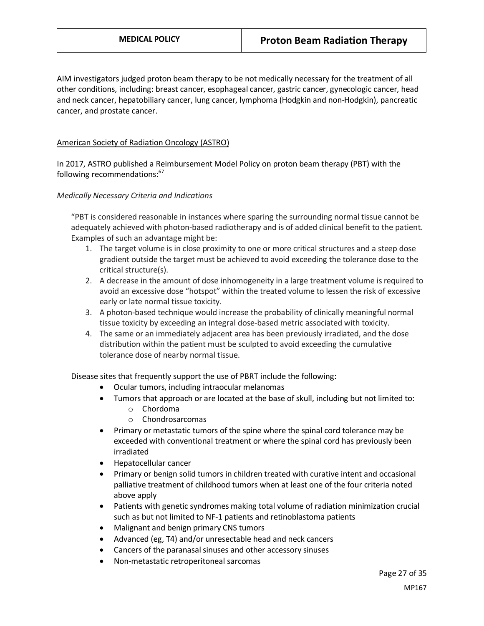AIM investigators judged proton beam therapy to be not medically necessary for the treatment of all other conditions, including: breast cancer, esophageal cancer, gastric cancer, gynecologic cancer, head and neck cancer, hepatobiliary cancer, lung cancer, lymphoma (Hodgkin and non-Hodgkin), pancreatic cancer, and prostate cancer.

#### American Society of Radiation Oncology (ASTRO)

In 2017, ASTRO published a Reimbursement Model Policy on proton beam therapy (PBT) with the following recommendations:<sup>67</sup>

#### *Medically Necessary Criteria and Indications*

"PBT is considered reasonable in instances where sparing the surrounding normal tissue cannot be adequately achieved with photon-based radiotherapy and is of added clinical benefit to the patient. Examples of such an advantage might be:

- 1. The target volume is in close proximity to one or more critical structures and a steep dose gradient outside the target must be achieved to avoid exceeding the tolerance dose to the critical structure(s).
- 2. A decrease in the amount of dose inhomogeneity in a large treatment volume is required to avoid an excessive dose "hotspot" within the treated volume to lessen the risk of excessive early or late normal tissue toxicity.
- 3. A photon-based technique would increase the probability of clinically meaningful normal tissue toxicity by exceeding an integral dose-based metric associated with toxicity.
- 4. The same or an immediately adjacent area has been previously irradiated, and the dose distribution within the patient must be sculpted to avoid exceeding the cumulative tolerance dose of nearby normal tissue.

Disease sites that frequently support the use of PBRT include the following:

- Ocular tumors, including intraocular melanomas
- Tumors that approach or are located at the base of skull, including but not limited to:
	- o Chordoma
	- o Chondrosarcomas
- Primary or metastatic tumors of the spine where the spinal cord tolerance may be exceeded with conventional treatment or where the spinal cord has previously been irradiated
- Hepatocellular cancer
- Primary or benign solid tumors in children treated with curative intent and occasional palliative treatment of childhood tumors when at least one of the four criteria noted above apply
- Patients with genetic syndromes making total volume of radiation minimization crucial such as but not limited to NF-1 patients and retinoblastoma patients
- Malignant and benign primary CNS tumors
- Advanced (eg, T4) and/or unresectable head and neck cancers
- Cancers of the paranasal sinuses and other accessory sinuses
- Non-metastatic retroperitoneal sarcomas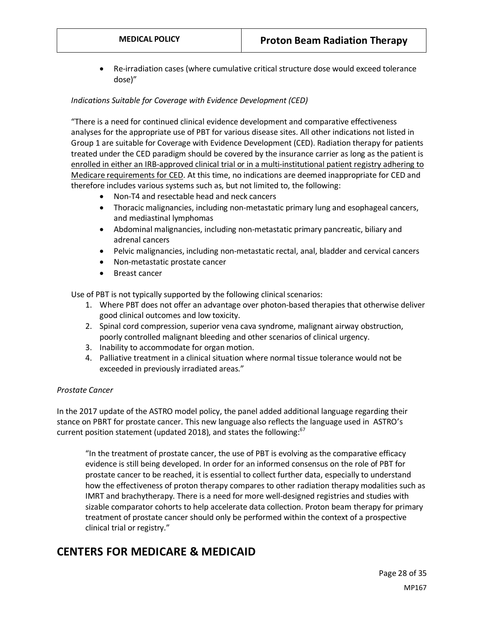• Re-irradiation cases (where cumulative critical structure dose would exceed tolerance dose)"

#### *Indications Suitable for Coverage with Evidence Development (CED)*

"There is a need for continued clinical evidence development and comparative effectiveness analyses for the appropriate use of PBT for various disease sites. All other indications not listed in Group 1 are suitable for Coverage with Evidence Development (CED). Radiation therapy for patients treated under the CED paradigm should be covered by the insurance carrier as long as the patient is enrolled in either an IRB-approved clinical trial or in a multi-institutional patient registry adhering to Medicare requirements for CED. At this time, no indications are deemed inappropriate for CED and therefore includes various systems such as, but not limited to, the following:

- Non-T4 and resectable head and neck cancers
- Thoracic malignancies, including non-metastatic primary lung and esophageal cancers, and mediastinal lymphomas
- Abdominal malignancies, including non-metastatic primary pancreatic, biliary and adrenal cancers
- Pelvic malignancies, including non-metastatic rectal, anal, bladder and cervical cancers
- Non-metastatic prostate cancer
- Breast cancer

Use of PBT is not typically supported by the following clinical scenarios:

- 1. Where PBT does not offer an advantage over photon-based therapies that otherwise deliver good clinical outcomes and low toxicity.
- 2. Spinal cord compression, superior vena cava syndrome, malignant airway obstruction, poorly controlled malignant bleeding and other scenarios of clinical urgency.
- 3. Inability to accommodate for organ motion.
- 4. Palliative treatment in a clinical situation where normal tissue tolerance would not be exceeded in previously irradiated areas."

#### *Prostate Cancer*

In the 2017 update of the ASTRO model policy, the panel added additional language regarding their stance on PBRT for prostate cancer. This new language also reflects the language used in ASTRO's current position statement (updated 2018), and states the following: $67$ 

"In the treatment of prostate cancer, the use of PBT is evolving as the comparative efficacy evidence is still being developed. In order for an informed consensus on the role of PBT for prostate cancer to be reached, it is essential to collect further data, especially to understand how the effectiveness of proton therapy compares to other radiation therapy modalities such as IMRT and brachytherapy. There is a need for more well-designed registries and studies with sizable comparator cohorts to help accelerate data collection. Proton beam therapy for primary treatment of prostate cancer should only be performed within the context of a prospective clinical trial or registry."

# **CENTERS FOR MEDICARE & MEDICAID**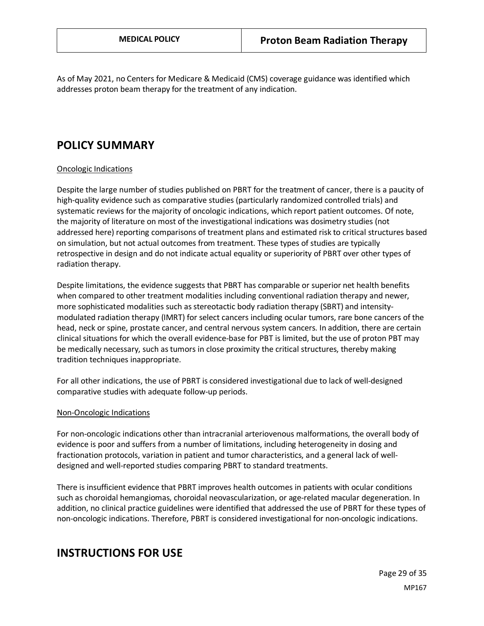<span id="page-28-0"></span>As of May 2021, no Centers for Medicare & Medicaid (CMS) coverage guidance was identified which addresses proton beam therapy for the treatment of any indication.

## **POLICY SUMMARY**

#### Oncologic Indications

Despite the large number of studies published on PBRT for the treatment of cancer, there is a paucity of high-quality evidence such as comparative studies (particularly randomized controlled trials) and systematic reviews for the majority of oncologic indications, which report patient outcomes. Of note, the majority of literature on most of the investigational indications was dosimetry studies (not addressed here) reporting comparisons of treatment plans and estimated risk to critical structures based on simulation, but not actual outcomes from treatment. These types of studies are typically retrospective in design and do not indicate actual equality or superiority of PBRT over other types of radiation therapy.

Despite limitations, the evidence suggests that PBRT has comparable or superior net health benefits when compared to other treatment modalities including conventional radiation therapy and newer, more sophisticated modalities such as stereotactic body radiation therapy (SBRT) and intensitymodulated radiation therapy (IMRT) for select cancers including ocular tumors, rare bone cancers of the head, neck or spine, prostate cancer, and central nervous system cancers. In addition, there are certain clinical situations for which the overall evidence-base for PBT is limited, but the use of proton PBT may be medically necessary, such as tumors in close proximity the critical structures, thereby making tradition techniques inappropriate.

For all other indications, the use of PBRT is considered investigational due to lack of well-designed comparative studies with adequate follow-up periods.

#### Non-Oncologic Indications

For non-oncologic indications other than intracranial arteriovenous malformations, the overall body of evidence is poor and suffers from a number of limitations, including heterogeneity in dosing and fractionation protocols, variation in patient and tumor characteristics, and a general lack of welldesigned and well-reported studies comparing PBRT to standard treatments.

There is insufficient evidence that PBRT improves health outcomes in patients with ocular conditions such as choroidal hemangiomas, choroidal neovascularization, or age-related macular degeneration. In addition, no clinical practice guidelines were identified that addressed the use of PBRT for these types of non-oncologic indications. Therefore, PBRT is considered investigational for non-oncologic indications.

## **INSTRUCTIONS FOR USE**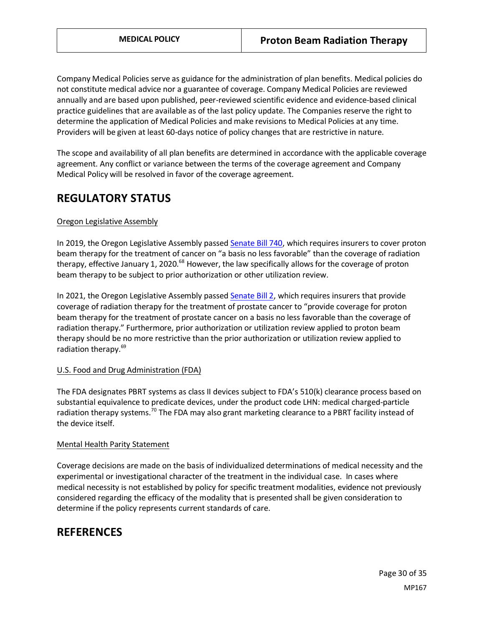Company Medical Policies serve as guidance for the administration of plan benefits. Medical policies do not constitute medical advice nor a guarantee of coverage. Company Medical Policies are reviewed annually and are based upon published, peer-reviewed scientific evidence and evidence-based clinical practice guidelines that are available as of the last policy update. The Companies reserve the right to determine the application of Medical Policies and make revisions to Medical Policies at any time. Providers will be given at least 60-days notice of policy changes that are restrictive in nature.

The scope and availability of all plan benefits are determined in accordance with the applicable coverage agreement. Any conflict or variance between the terms of the coverage agreement and Company Medical Policy will be resolved in favor of the coverage agreement.

# **REGULATORY STATUS**

#### Oregon Legislative Assembly

In 2019, the Oregon Legislative Assembly passe[d Senate Bill 740,](https://olis.leg.state.or.us/liz/2019R1/Downloads/MeasureDocument/SB740/Enrolled) which requires insurers to cover proton beam therapy for the treatment of cancer on "a basis no less favorable" than the coverage of radiation therapy, effective January 1, 2020.<sup>68</sup> However, the law specifically allows for the coverage of proton beam therapy to be subject to prior authorization or other utilization review.

In 2021, the Oregon Legislative Assembly passe[d Senate Bill 2,](https://olis.oregonlegislature.gov/liz/2021R1/Downloads/MeasureDocument/SB2/Enrolled) which requires insurers that provide coverage of radiation therapy for the treatment of prostate cancer to "provide coverage for proton beam therapy for the treatment of prostate cancer on a basis no less favorable than the coverage of radiation therapy." Furthermore, prior authorization or utilization review applied to proton beam therapy should be no more restrictive than the prior authorization or utilization review applied to radiation therapy.<sup>69</sup>

#### U.S. Food and Drug Administration (FDA)

The FDA designates PBRT systems as class II devices subject to FDA's 510(k) clearance process based on substantial equivalence to predicate devices, under the product code LHN: medical charged-particle radiation therapy systems.<sup>70</sup> The FDA may also grant marketing clearance to a PBRT facility instead of the device itself.

#### Mental Health Parity Statement

Coverage decisions are made on the basis of individualized determinations of medical necessity and the experimental or investigational character of the treatment in the individual case. In cases where medical necessity is not established by policy for specific treatment modalities, evidence not previously considered regarding the efficacy of the modality that is presented shall be given consideration to determine if the policy represents current standards of care.

## **REFERENCES**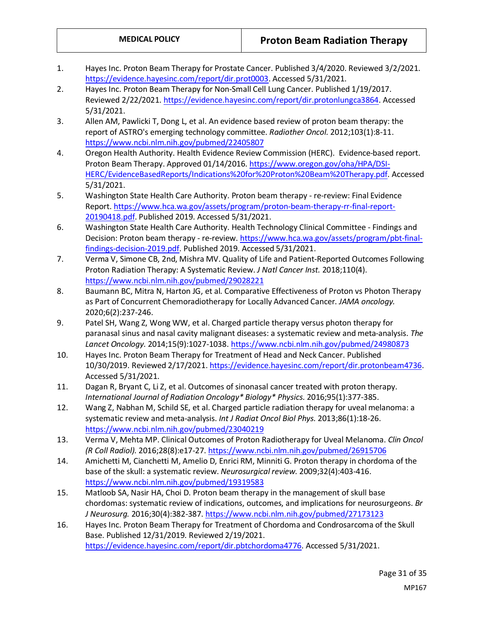- 1. Hayes Inc. Proton Beam Therapy for Prostate Cancer. Published 3/4/2020. Reviewed 3/2/2021. [https://evidence.hayesinc.com/report/dir.prot0003.](https://evidence.hayesinc.com/report/dir.prot0003) Accessed 5/31/2021.
- 2. Hayes Inc. Proton Beam Therapy for Non-Small Cell Lung Cancer. Published 1/19/2017. Reviewed 2/22/2021. [https://evidence.hayesinc.com/report/dir.protonlungca3864.](https://evidence.hayesinc.com/report/dir.protonlungca3864) Accessed 5/31/2021.
- 3. Allen AM, Pawlicki T, Dong L, et al. An evidence based review of proton beam therapy: the report of ASTRO's emerging technology committee. *Radiother Oncol.* 2012;103(1):8-11. <https://www.ncbi.nlm.nih.gov/pubmed/22405807>
- 4. Oregon Health Authority. Health Evidence Review Commission (HERC). Evidence-based report. Proton Beam Therapy. Approved 01/14/2016[. https://www.oregon.gov/oha/HPA/DSI-](https://www.oregon.gov/oha/HPA/DSI-HERC/EvidenceBasedReports/Indications%20for%20Proton%20Beam%20Therapy.pdf)[HERC/EvidenceBasedReports/Indications%20for%20Proton%20Beam%20Therapy.pdf.](https://www.oregon.gov/oha/HPA/DSI-HERC/EvidenceBasedReports/Indications%20for%20Proton%20Beam%20Therapy.pdf) Accessed 5/31/2021.
- 5. Washington State Health Care Authority. Proton beam therapy re-review: Final Evidence Report. [https://www.hca.wa.gov/assets/program/proton-beam-therapy-rr-final-report-](https://www.hca.wa.gov/assets/program/proton-beam-therapy-rr-final-report-20190418.pdf)[20190418.pdf.](https://www.hca.wa.gov/assets/program/proton-beam-therapy-rr-final-report-20190418.pdf) Published 2019. Accessed 5/31/2021.
- 6. Washington State Health Care Authority. Health Technology Clinical Committee Findings and Decision: Proton beam therapy - re-review[. https://www.hca.wa.gov/assets/program/pbt-final](https://www.hca.wa.gov/assets/program/pbt-final-findings-decision-2019.pdf)[findings-decision-2019.pdf.](https://www.hca.wa.gov/assets/program/pbt-final-findings-decision-2019.pdf) Published 2019. Accessed 5/31/2021.
- 7. Verma V, Simone CB, 2nd, Mishra MV. Quality of Life and Patient-Reported Outcomes Following Proton Radiation Therapy: A Systematic Review. *J Natl Cancer Inst.* 2018;110(4). <https://www.ncbi.nlm.nih.gov/pubmed/29028221>
- 8. Baumann BC, Mitra N, Harton JG, et al. Comparative Effectiveness of Proton vs Photon Therapy as Part of Concurrent Chemoradiotherapy for Locally Advanced Cancer. *JAMA oncology.*  2020;6(2):237-246.
- 9. Patel SH, Wang Z, Wong WW, et al. Charged particle therapy versus photon therapy for paranasal sinus and nasal cavity malignant diseases: a systematic review and meta-analysis. *The Lancet Oncology.* 2014;15(9):1027-1038.<https://www.ncbi.nlm.nih.gov/pubmed/24980873>
- 10. Hayes Inc. Proton Beam Therapy for Treatment of Head and Neck Cancer. Published 10/30/2019. Reviewed 2/17/2021[. https://evidence.hayesinc.com/report/dir.protonbeam4736.](https://evidence.hayesinc.com/report/dir.protonbeam4736) Accessed 5/31/2021.
- 11. Dagan R, Bryant C, Li Z, et al. Outcomes of sinonasal cancer treated with proton therapy. *International Journal of Radiation Oncology\* Biology\* Physics.* 2016;95(1):377-385.
- 12. Wang Z, Nabhan M, Schild SE, et al. Charged particle radiation therapy for uveal melanoma: a systematic review and meta-analysis. *Int J Radiat Oncol Biol Phys.* 2013;86(1):18-26. <https://www.ncbi.nlm.nih.gov/pubmed/23040219>
- 13. Verma V, Mehta MP. Clinical Outcomes of Proton Radiotherapy for Uveal Melanoma. *Clin Oncol (R Coll Radiol).* 2016;28(8):e17-27.<https://www.ncbi.nlm.nih.gov/pubmed/26915706>
- 14. Amichetti M, Cianchetti M, Amelio D, Enrici RM, Minniti G. Proton therapy in chordoma of the base of the skull: a systematic review. *Neurosurgical review.* 2009;32(4):403-416. <https://www.ncbi.nlm.nih.gov/pubmed/19319583>
- 15. Matloob SA, Nasir HA, Choi D. Proton beam therapy in the management of skull base chordomas: systematic review of indications, outcomes, and implications for neurosurgeons. *Br J Neurosurg.* 2016;30(4):382-387[. https://www.ncbi.nlm.nih.gov/pubmed/27173123](https://www.ncbi.nlm.nih.gov/pubmed/27173123)
- 16. Hayes Inc. Proton Beam Therapy for Treatment of Chordoma and Condrosarcoma of the Skull Base. Published 12/31/2019. Reviewed 2/19/2021. [https://evidence.hayesinc.com/report/dir.pbtchordoma4776.](https://evidence.hayesinc.com/report/dir.pbtchordoma4776) Accessed 5/31/2021.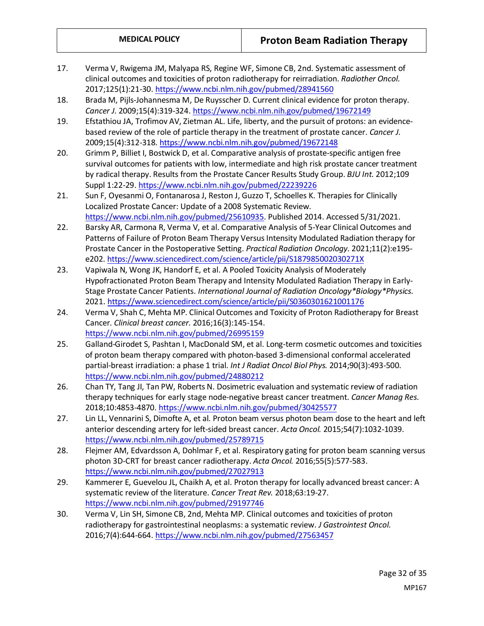- 17. Verma V, Rwigema JM, Malyapa RS, Regine WF, Simone CB, 2nd. Systematic assessment of clinical outcomes and toxicities of proton radiotherapy for reirradiation. *Radiother Oncol.*  2017;125(1):21-30.<https://www.ncbi.nlm.nih.gov/pubmed/28941560>
- 18. Brada M, Pijls-Johannesma M, De Ruysscher D. Current clinical evidence for proton therapy. *Cancer J.* 2009;15(4):319-324[. https://www.ncbi.nlm.nih.gov/pubmed/19672149](https://www.ncbi.nlm.nih.gov/pubmed/19672149)
- 19. Efstathiou JA, Trofimov AV, Zietman AL. Life, liberty, and the pursuit of protons: an evidencebased review of the role of particle therapy in the treatment of prostate cancer. *Cancer J.*  2009;15(4):312-318[. https://www.ncbi.nlm.nih.gov/pubmed/19672148](https://www.ncbi.nlm.nih.gov/pubmed/19672148)
- 20. Grimm P, Billiet I, Bostwick D, et al. Comparative analysis of prostate-specific antigen free survival outcomes for patients with low, intermediate and high risk prostate cancer treatment by radical therapy. Results from the Prostate Cancer Results Study Group. *BJU Int.* 2012;109 Suppl 1:22-29.<https://www.ncbi.nlm.nih.gov/pubmed/22239226>
- 21. Sun F, Oyesanmi O, Fontanarosa J, Reston J, Guzzo T, Schoelles K. Therapies for Clinically Localized Prostate Cancer: Update of a 2008 Systematic Review. [https://www.ncbi.nlm.nih.gov/pubmed/25610935.](https://www.ncbi.nlm.nih.gov/pubmed/25610935) Published 2014. Accessed 5/31/2021.
- 22. Barsky AR, Carmona R, Verma V, et al. Comparative Analysis of 5-Year Clinical Outcomes and Patterns of Failure of Proton Beam Therapy Versus Intensity Modulated Radiation therapy for Prostate Cancer in the Postoperative Setting. *Practical Radiation Oncology.* 2021;11(2):e195 e202[. https://www.sciencedirect.com/science/article/pii/S187985002030271X](https://www.sciencedirect.com/science/article/pii/S187985002030271X)
- 23. Vapiwala N, Wong JK, Handorf E, et al. A Pooled Toxicity Analysis of Moderately Hypofractionated Proton Beam Therapy and Intensity Modulated Radiation Therapy in Early-Stage Prostate Cancer Patients. *International Journal of Radiation Oncology\*Biology\*Physics.*  2021[. https://www.sciencedirect.com/science/article/pii/S0360301621001176](https://www.sciencedirect.com/science/article/pii/S0360301621001176)
- 24. Verma V, Shah C, Mehta MP. Clinical Outcomes and Toxicity of Proton Radiotherapy for Breast Cancer. *Clinical breast cancer.* 2016;16(3):145-154. <https://www.ncbi.nlm.nih.gov/pubmed/26995159>
- 25. Galland-Girodet S, Pashtan I, MacDonald SM, et al. Long-term cosmetic outcomes and toxicities of proton beam therapy compared with photon-based 3-dimensional conformal accelerated partial-breast irradiation: a phase 1 trial. *Int J Radiat Oncol Biol Phys.* 2014;90(3):493-500. <https://www.ncbi.nlm.nih.gov/pubmed/24880212>
- 26. Chan TY, Tang JI, Tan PW, Roberts N. Dosimetric evaluation and systematic review of radiation therapy techniques for early stage node-negative breast cancer treatment. *Cancer Manag Res.*  2018;10:4853-4870[. https://www.ncbi.nlm.nih.gov/pubmed/30425577](https://www.ncbi.nlm.nih.gov/pubmed/30425577)
- 27. Lin LL, Vennarini S, Dimofte A, et al. Proton beam versus photon beam dose to the heart and left anterior descending artery for left-sided breast cancer. *Acta Oncol.* 2015;54(7):1032-1039. <https://www.ncbi.nlm.nih.gov/pubmed/25789715>
- 28. Flejmer AM, Edvardsson A, Dohlmar F, et al. Respiratory gating for proton beam scanning versus photon 3D-CRT for breast cancer radiotherapy. *Acta Oncol.* 2016;55(5):577-583. <https://www.ncbi.nlm.nih.gov/pubmed/27027913>
- 29. Kammerer E, Guevelou JL, Chaikh A, et al. Proton therapy for locally advanced breast cancer: A systematic review of the literature. *Cancer Treat Rev.* 2018;63:19-27. <https://www.ncbi.nlm.nih.gov/pubmed/29197746>
- 30. Verma V, Lin SH, Simone CB, 2nd, Mehta MP. Clinical outcomes and toxicities of proton radiotherapy for gastrointestinal neoplasms: a systematic review. *J Gastrointest Oncol.*  2016;7(4):644-664.<https://www.ncbi.nlm.nih.gov/pubmed/27563457>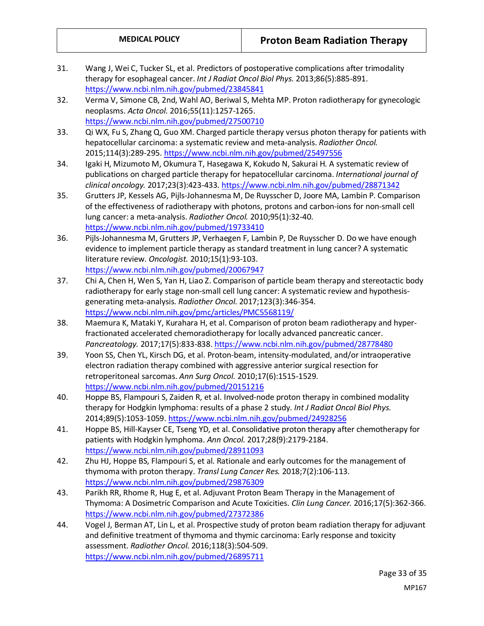- 31. Wang J, Wei C, Tucker SL, et al. Predictors of postoperative complications after trimodality therapy for esophageal cancer. *Int J Radiat Oncol Biol Phys.* 2013;86(5):885-891. <https://www.ncbi.nlm.nih.gov/pubmed/23845841>
- 32. Verma V, Simone CB, 2nd, Wahl AO, Beriwal S, Mehta MP. Proton radiotherapy for gynecologic neoplasms. *Acta Oncol.* 2016;55(11):1257-1265. <https://www.ncbi.nlm.nih.gov/pubmed/27500710>
- 33. Qi WX, Fu S, Zhang Q, Guo XM. Charged particle therapy versus photon therapy for patients with hepatocellular carcinoma: a systematic review and meta-analysis. *Radiother Oncol.*  2015;114(3):289-295[. https://www.ncbi.nlm.nih.gov/pubmed/25497556](https://www.ncbi.nlm.nih.gov/pubmed/25497556)
- 34. Igaki H, Mizumoto M, Okumura T, Hasegawa K, Kokudo N, Sakurai H. A systematic review of publications on charged particle therapy for hepatocellular carcinoma. *International journal of clinical oncology.* 2017;23(3):423-433.<https://www.ncbi.nlm.nih.gov/pubmed/28871342>
- 35. Grutters JP, Kessels AG, Pijls-Johannesma M, De Ruysscher D, Joore MA, Lambin P. Comparison of the effectiveness of radiotherapy with photons, protons and carbon-ions for non-small cell lung cancer: a meta-analysis. *Radiother Oncol.* 2010;95(1):32-40. <https://www.ncbi.nlm.nih.gov/pubmed/19733410>
- 36. Pijls-Johannesma M, Grutters JP, Verhaegen F, Lambin P, De Ruysscher D. Do we have enough evidence to implement particle therapy as standard treatment in lung cancer? A systematic literature review. *Oncologist.* 2010;15(1):93-103. <https://www.ncbi.nlm.nih.gov/pubmed/20067947>
- 37. Chi A, Chen H, Wen S, Yan H, Liao Z. Comparison of particle beam therapy and stereotactic body radiotherapy for early stage non-small cell lung cancer: A systematic review and hypothesisgenerating meta-analysis. *Radiother Oncol.* 2017;123(3):346-354. <https://www.ncbi.nlm.nih.gov/pmc/articles/PMC5568119/>
- 38. Maemura K, Mataki Y, Kurahara H, et al. Comparison of proton beam radiotherapy and hyperfractionated accelerated chemoradiotherapy for locally advanced pancreatic cancer. *Pancreatology.* 2017;17(5):833-838[. https://www.ncbi.nlm.nih.gov/pubmed/28778480](https://www.ncbi.nlm.nih.gov/pubmed/28778480)
- 39. Yoon SS, Chen YL, Kirsch DG, et al. Proton-beam, intensity-modulated, and/or intraoperative electron radiation therapy combined with aggressive anterior surgical resection for retroperitoneal sarcomas. *Ann Surg Oncol.* 2010;17(6):1515-1529. <https://www.ncbi.nlm.nih.gov/pubmed/20151216>
- 40. Hoppe BS, Flampouri S, Zaiden R, et al. Involved-node proton therapy in combined modality therapy for Hodgkin lymphoma: results of a phase 2 study. *Int J Radiat Oncol Biol Phys.*  2014;89(5):1053-1059.<https://www.ncbi.nlm.nih.gov/pubmed/24928256>
- 41. Hoppe BS, Hill-Kayser CE, Tseng YD, et al. Consolidative proton therapy after chemotherapy for patients with Hodgkin lymphoma. *Ann Oncol.* 2017;28(9):2179-2184. <https://www.ncbi.nlm.nih.gov/pubmed/28911093>
- 42. Zhu HJ, Hoppe BS, Flampouri S, et al. Rationale and early outcomes for the management of thymoma with proton therapy. *Transl Lung Cancer Res.* 2018;7(2):106-113. <https://www.ncbi.nlm.nih.gov/pubmed/29876309>
- 43. Parikh RR, Rhome R, Hug E, et al. Adjuvant Proton Beam Therapy in the Management of Thymoma: A Dosimetric Comparison and Acute Toxicities. *Clin Lung Cancer.* 2016;17(5):362-366. <https://www.ncbi.nlm.nih.gov/pubmed/27372386>
- 44. Vogel J, Berman AT, Lin L, et al. Prospective study of proton beam radiation therapy for adjuvant and definitive treatment of thymoma and thymic carcinoma: Early response and toxicity assessment. *Radiother Oncol.* 2016;118(3):504-509. <https://www.ncbi.nlm.nih.gov/pubmed/26895711>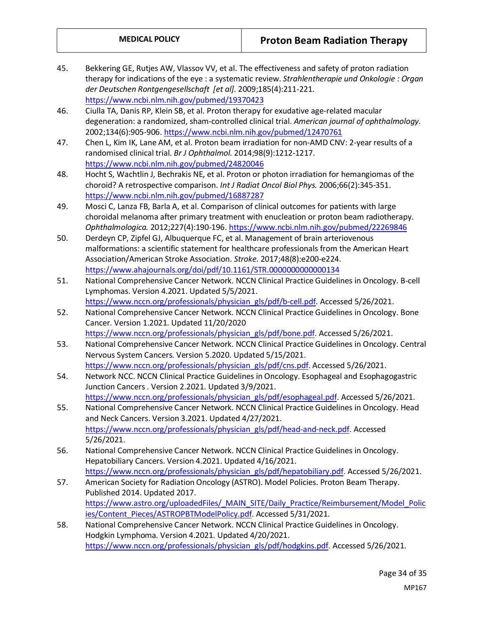- 45. Bekkering GE, Rutjes AW, Vlassov VV, et al. The effectiveness and safety of proton radiation therapy for indications of the eye : a systematic review. *Strahlentherapie und Onkologie : Organ der Deutschen Rontgengesellschaft [et al].* 2009;185(4):211-221. <https://www.ncbi.nlm.nih.gov/pubmed/19370423>
- 46. Ciulla TA, Danis RP, Klein SB, et al. Proton therapy for exudative age-related macular degeneration: a randomized, sham-controlled clinical trial. *American journal of ophthalmology.*  2002;134(6):905-906[. https://www.ncbi.nlm.nih.gov/pubmed/12470761](https://www.ncbi.nlm.nih.gov/pubmed/12470761)
- 47. Chen L, Kim IK, Lane AM, et al. Proton beam irradiation for non-AMD CNV: 2-year results of a randomised clinical trial. *Br J Ophthalmol.* 2014;98(9):1212-1217. <https://www.ncbi.nlm.nih.gov/pubmed/24820046>
- 48. Hocht S, Wachtlin J, Bechrakis NE, et al. Proton or photon irradiation for hemangiomas of the choroid? A retrospective comparison. *Int J Radiat Oncol Biol Phys.* 2006;66(2):345-351. <https://www.ncbi.nlm.nih.gov/pubmed/16887287>
- 49. Mosci C, Lanza FB, Barla A, et al. Comparison of clinical outcomes for patients with large choroidal melanoma after primary treatment with enucleation or proton beam radiotherapy. *Ophthalmologica.* 2012;227(4):190-196[. https://www.ncbi.nlm.nih.gov/pubmed/22269846](https://www.ncbi.nlm.nih.gov/pubmed/22269846)
- 50. Derdeyn CP, Zipfel GJ, Albuquerque FC, et al. Management of brain arteriovenous malformations: a scientific statement for healthcare professionals from the American Heart Association/American Stroke Association. *Stroke.* 2017;48(8):e200-e224. <https://www.ahajournals.org/doi/pdf/10.1161/STR.0000000000000134>
- 51. National Comprehensive Cancer Network. NCCN Clinical Practice Guidelines in Oncology. B-cell Lymphomas. Version 4.2021. Updated 5/5/2021. [https://www.nccn.org/professionals/physician\\_gls/pdf/b-cell.pdf.](https://www.nccn.org/professionals/physician_gls/pdf/b-cell.pdf) Accessed 5/26/2021.
- 52. National Comprehensive Cancer Network. NCCN Clinical Practice Guidelines in Oncology. Bone Cancer. Version 1.2021. Updated 11/20/2020 [https://www.nccn.org/professionals/physician\\_gls/pdf/bone.pdf.](https://www.nccn.org/professionals/physician_gls/pdf/bone.pdf) Accessed 5/26/2021.
- 53. National Comprehensive Cancer Network. NCCN Clinical Practice Guidelines in Oncology. Central Nervous System Cancers. Version 5.2020. Updated 5/15/2021. [https://www.nccn.org/professionals/physician\\_gls/pdf/cns.pdf.](https://www.nccn.org/professionals/physician_gls/pdf/cns.pdf) Accessed 5/26/2021.
- 54. Network NCC. NCCN Clinical Practice Guidelines in Oncology. Esophageal and Esophagogastric Junction Cancers . Version 2.2021. Updated 3/9/2021. [https://www.nccn.org/professionals/physician\\_gls/pdf/esophageal.pdf.](https://www.nccn.org/professionals/physician_gls/pdf/esophageal.pdf) Accessed 5/26/2021.
- 55. National Comprehensive Cancer Network. NCCN Clinical Practice Guidelines in Oncology. Head and Neck Cancers. Version 3.2021. Updated 4/27/2021. [https://www.nccn.org/professionals/physician\\_gls/pdf/head-and-neck.pdf.](https://www.nccn.org/professionals/physician_gls/pdf/head-and-neck.pdf) Accessed 5/26/2021.
- 56. National Comprehensive Cancer Network. NCCN Clinical Practice Guidelines in Oncology. Hepatobiliary Cancers. Version 4.2021. Updated 4/16/2021. [https://www.nccn.org/professionals/physician\\_gls/pdf/hepatobiliary.pdf.](https://www.nccn.org/professionals/physician_gls/pdf/hepatobiliary.pdf) Accessed 5/26/2021.
- 57. American Society for Radiation Oncology (ASTRO). Model Policies. Proton Beam Therapy. Published 2014. Updated 2017. [https://www.astro.org/uploadedFiles/\\_MAIN\\_SITE/Daily\\_Practice/Reimbursement/Model\\_Polic](https://www.astro.org/uploadedFiles/_MAIN_SITE/Daily_Practice/Reimbursement/Model_Policies/Content_Pieces/ASTROPBTModelPolicy.pdf) [ies/Content\\_Pieces/ASTROPBTModelPolicy.pdf.](https://www.astro.org/uploadedFiles/_MAIN_SITE/Daily_Practice/Reimbursement/Model_Policies/Content_Pieces/ASTROPBTModelPolicy.pdf) Accessed 5/31/2021.
- 58. National Comprehensive Cancer Network. NCCN Clinical Practice Guidelines in Oncology. Hodgkin Lymphoma. Version 4.2021. Updated 4/20/2021. [https://www.nccn.org/professionals/physician\\_gls/pdf/hodgkins.pdf.](https://www.nccn.org/professionals/physician_gls/pdf/hodgkins.pdf) Accessed 5/26/2021.